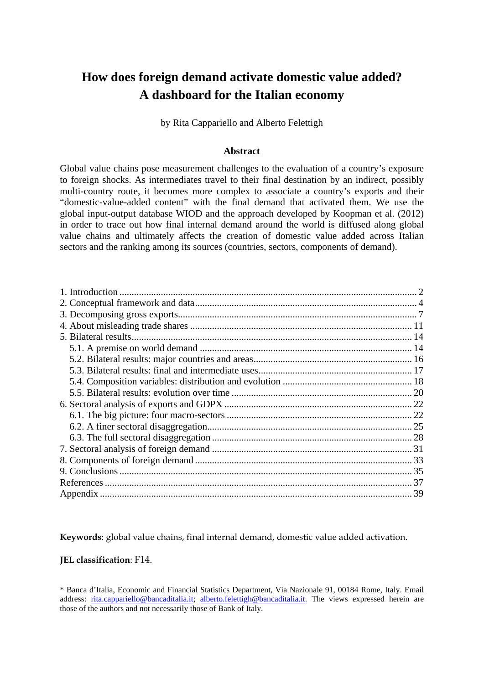# **How does foreign demand activate domestic value added? A dashboard for the Italian economy**

by Rita Cappariello and Alberto Felettigh

### **Abstract**

Global value chains pose measurement challenges to the evaluation of a country's exposure to foreign shocks. As intermediates travel to their final destination by an indirect, possibly multi-country route, it becomes more complex to associate a country's exports and their "domestic-value-added content" with the final demand that activated them. We use the global input-output database WIOD and the approach developed by Koopman et al. (2012) in order to trace out how final internal demand around the world is diffused along global value chains and ultimately affects the creation of domestic value added across Italian sectors and the ranking among its sources (countries, sectors, components of demand).

**Keywords**: global value chains, final internal demand, domestic value added activation.

### **JEL classification**: F14.

<sup>\*</sup> Banca d'Italia, Economic and Financial Statistics Department, Via Nazionale 91, 00184 Rome, Italy. Email address: [rita.cappariello@bancaditalia.it;](mailto:rita.cappariello@bancaditalia.it) [alberto.felettigh@bancaditalia.it](mailto:alberto.felettigh@bancaditalia.it). The views expressed herein are those of the authors and not necessarily those of Bank of Italy.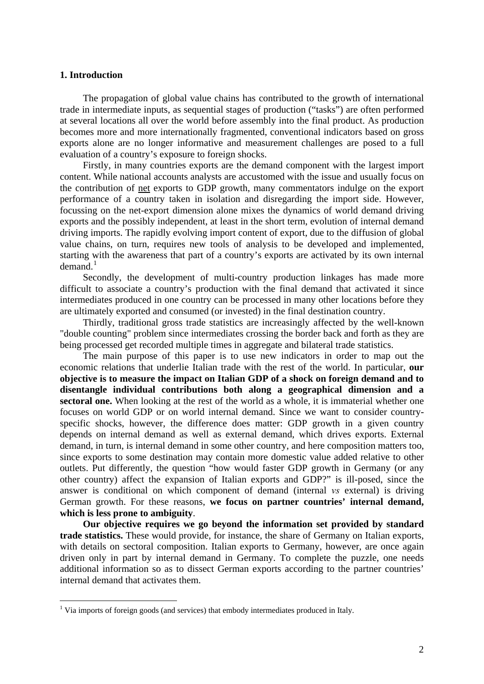### <span id="page-1-0"></span>**1. Introduction**

 $\overline{a}$ 

The propagation of global value chains has contributed to the growth of international trade in intermediate inputs, as sequential stages of production ("tasks") are often performed at several locations all over the world before assembly into the final product. As production becomes more and more internationally fragmented, conventional indicators based on gross exports alone are no longer informative and measurement challenges are posed to a full evaluation of a country's exposure to foreign shocks.

Firstly, in many countries exports are the demand component with the largest import content. While national accounts analysts are accustomed with the issue and usually focus on the contribution of net exports to GDP growth, many commentators indulge on the export performance of a country taken in isolation and disregarding the import side. However, focussing on the net-export dimension alone mixes the dynamics of world demand driving exports and the possibly independent, at least in the short term, evolution of internal demand driving imports. The rapidly evolving import content of export, due to the diffusion of global value chains, on turn, requires new tools of analysis to be developed and implemented, starting with the awareness that part of a country's exports are activated by its own internal  $demand.<sup>1</sup>$  $demand.<sup>1</sup>$  $demand.<sup>1</sup>$ 

Secondly, the development of multi-country production linkages has made more difficult to associate a country's production with the final demand that activated it since intermediates produced in one country can be processed in many other locations before they are ultimately exported and consumed (or invested) in the final destination country.

Thirdly, traditional gross trade statistics are increasingly affected by the well-known "double counting" problem since intermediates crossing the border back and forth as they are being processed get recorded multiple times in aggregate and bilateral trade statistics.

The main purpose of this paper is to use new indicators in order to map out the economic relations that underlie Italian trade with the rest of the world. In particular, **our objective is to measure the impact on Italian GDP of a shock on foreign demand and to disentangle individual contributions both along a geographical dimension and a sectoral one.** When looking at the rest of the world as a whole, it is immaterial whether one focuses on world GDP or on world internal demand. Since we want to consider countryspecific shocks, however, the difference does matter: GDP growth in a given country depends on internal demand as well as external demand, which drives exports. External demand, in turn, is internal demand in some other country, and here composition matters too, since exports to some destination may contain more domestic value added relative to other outlets. Put differently, the question "how would faster GDP growth in Germany (or any other country) affect the expansion of Italian exports and GDP?" is ill-posed, since the answer is conditional on which component of demand (internal *vs* external) is driving German growth. For these reasons, **we focus on partner countries' internal demand, which is less prone to ambiguity**.

**Our objective requires we go beyond the information set provided by standard trade statistics.** These would provide, for instance, the share of Germany on Italian exports, with details on sectoral composition. Italian exports to Germany, however, are once again driven only in part by internal demand in Germany. To complete the puzzle, one needs additional information so as to dissect German exports according to the partner countries' internal demand that activates them.

<span id="page-1-1"></span><sup>&</sup>lt;sup>1</sup> Via imports of foreign goods (and services) that embody intermediates produced in Italy.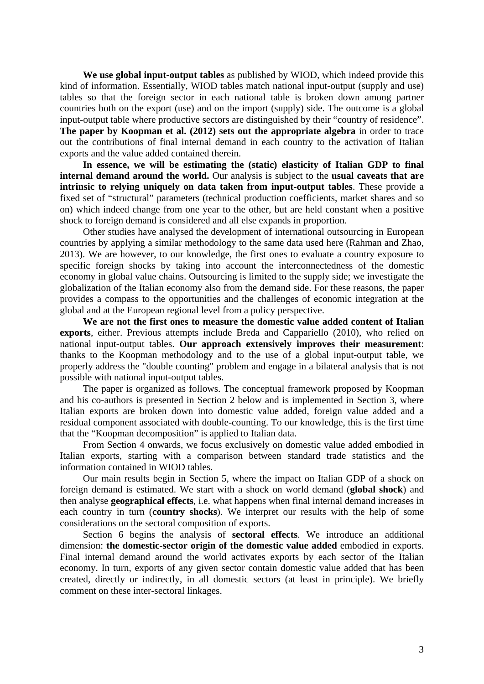**We use global input-output tables** as published by WIOD, which indeed provide this kind of information. Essentially, WIOD tables match national input-output (supply and use) tables so that the foreign sector in each national table is broken down among partner countries both on the export (use) and on the import (supply) side. The outcome is a global input-output table where productive sectors are distinguished by their "country of residence". **The paper by Koopman et al. (2012) sets out the appropriate algebra** in order to trace out the contributions of final internal demand in each country to the activation of Italian exports and the value added contained therein.

**In essence, we will be estimating the (static) elasticity of Italian GDP to final internal demand around the world.** Our analysis is subject to the **usual caveats that are intrinsic to relying uniquely on data taken from input-output tables**. These provide a fixed set of "structural" parameters (technical production coefficients, market shares and so on) which indeed change from one year to the other, but are held constant when a positive shock to foreign demand is considered and all else expands in proportion.

Other studies have analysed the development of international outsourcing in European countries by applying a similar methodology to the same data used here (Rahman and Zhao, 2013). We are however, to our knowledge, the first ones to evaluate a country exposure to specific foreign shocks by taking into account the interconnectedness of the domestic economy in global value chains. Outsourcing is limited to the supply side; we investigate the globalization of the Italian economy also from the demand side. For these reasons, the paper provides a compass to the opportunities and the challenges of economic integration at the global and at the European regional level from a policy perspective.

**We are not the first ones to measure the domestic value added content of Italian exports**, either. Previous attempts include Breda and Cappariello (2010), who relied on national input-output tables. **Our approach extensively improves their measurement**: thanks to the Koopman methodology and to the use of a global input-output table, we properly address the "double counting" problem and engage in a bilateral analysis that is not possible with national input-output tables.

The paper is organized as follows. The conceptual framework proposed by Koopman and his co-authors is presented in Section 2 below and is implemented in Section 3, where Italian exports are broken down into domestic value added, foreign value added and a residual component associated with double-counting. To our knowledge, this is the first time that the "Koopman decomposition" is applied to Italian data.

From Section 4 onwards, we focus exclusively on domestic value added embodied in Italian exports, starting with a comparison between standard trade statistics and the information contained in WIOD tables.

Our main results begin in Section 5, where the impact on Italian GDP of a shock on foreign demand is estimated. We start with a shock on world demand (**global shock**) and then analyse **geographical effects**, i.e. what happens when final internal demand increases in each country in turn (**country shocks**). We interpret our results with the help of some considerations on the sectoral composition of exports.

Section 6 begins the analysis of **sectoral effects**. We introduce an additional dimension: **the domestic-sector origin of the domestic value added** embodied in exports. Final internal demand around the world activates exports by each sector of the Italian economy. In turn, exports of any given sector contain domestic value added that has been created, directly or indirectly, in all domestic sectors (at least in principle). We briefly comment on these inter-sectoral linkages.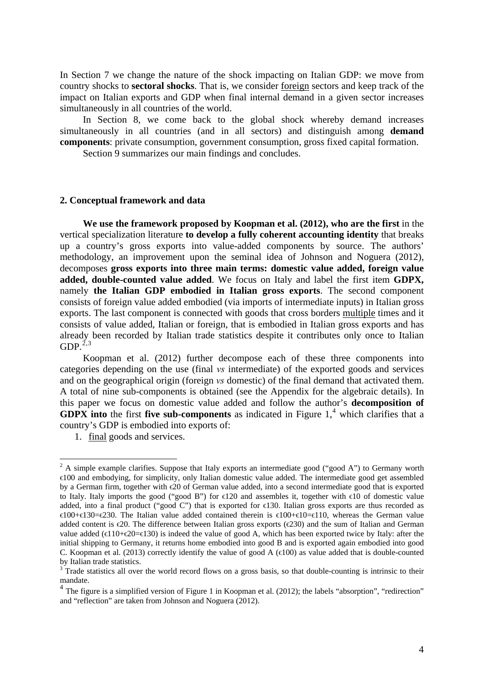In Section 7 we change the nature of the shock impacting on Italian GDP: we move from country shocks to **sectoral shocks**. That is, we consider foreign sectors and keep track of the impact on Italian exports and GDP when final internal demand in a given sector increases simultaneously in all countries of the world.

In Section 8, we come back to the global shock whereby demand increases simultaneously in all countries (and in all sectors) and distinguish among **demand components**: private consumption, government consumption, gross fixed capital formation.

Section 9 summarizes our main findings and concludes.

#### <span id="page-3-0"></span>**2. Conceptual framework and data**

**We use the framework proposed by Koopman et al. (2012), who are the first** in the vertical specialization literature **to develop a fully coherent accounting identity** that breaks up a country's gross exports into value-added components by source. The authors' methodology, an improvement upon the seminal idea of Johnson and Noguera (2012), decomposes **gross exports into three main terms: domestic value added, foreign value added, double-counted value added**. We focus on Italy and label the first item **GDPX,** namely **the Italian GDP embodied in Italian gross exports**. The second component consists of foreign value added embodied (via imports of intermediate inputs) in Italian gross exports. The last component is connected with goods that cross borders multiple times and it consists of value added, Italian or foreign, that is embodied in Italian gross exports and has already been recorded by Italian trade statistics despite it contributes only once to Italian GDP. $^{2,3}$  $^{2,3}$  $^{2,3}$  $^{2,3}$  $^{2,3}$ 

Koopman et al. (2012) further decompose each of these three components into categories depending on the use (final *vs* intermediate) of the exported goods and services and on the geographical origin (foreign *vs* domestic) of the final demand that activated them. A total of nine sub-components is obtained (see the Appendix for the algebraic details). In this paper we focus on domestic value added and follow the author's **decomposition of GDPX** into the first five sub-components as indicated in Figure  $1<sup>4</sup>$  $1<sup>4</sup>$  $1<sup>4</sup>$  which clarifies that a country's GDP is embodied into exports of:

<sup>1.</sup> final goods and services.

<span id="page-3-1"></span> $2$  A simple example clarifies. Suppose that Italy exports an intermediate good ("good A") to Germany worth €100 and embodying, for simplicity, only Italian domestic value added. The intermediate good get assembled by a German firm, together with €20 of German value added, into a second intermediate good that is exported to Italy. Italy imports the good ("good B") for  $\in$ 120 and assembles it, together with  $\in$ 10 of domestic value added, into a final product ("good C") that is exported for €130. Italian gross exports are thus recorded as €100+€130=€230. The Italian value added contained therein is €100+€10=€110, whereas the German value added content is  $\epsilon$ 20. The difference between Italian gross exports ( $\epsilon$ 230) and the sum of Italian and German value added ( $\in$ 10+ $\in$ 20= $\in$ 130) is indeed the value of good A, which has been exported twice by Italy: after the initial shipping to Germany, it returns home embodied into good B and is exported again embodied into good C. Koopman et al. (2013) correctly identify the value of good A ( $\in$ 100) as value added that is double-counted by Italian trade statistics.

<span id="page-3-2"></span> $3$  Trade statistics all over the world record flows on a gross basis, so that double-counting is intrinsic to their mandate.

<span id="page-3-3"></span> $4$  The figure is a simplified version of Figure 1 in Koopman et al. (2012); the labels "absorption", "redirection" and "reflection" are taken from Johnson and Noguera (2012).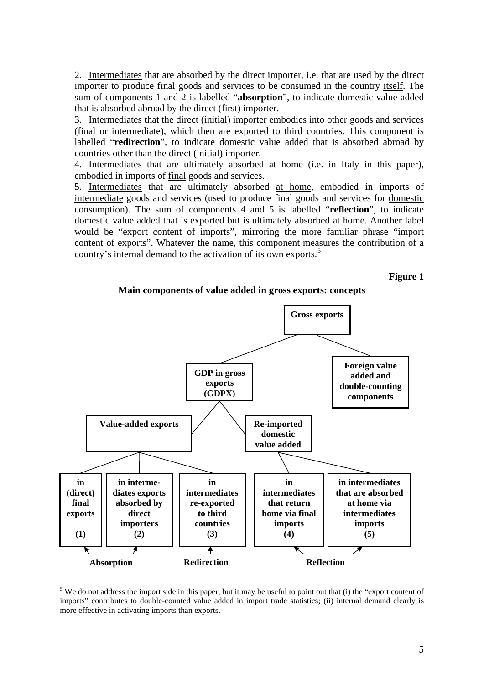2. Intermediates that are absorbed by the direct importer, i.e. that are used by the direct importer to produce final goods and services to be consumed in the country itself. The sum of components 1 and 2 is labelled "**absorption**", to indicate domestic value added that is absorbed abroad by the direct (first) importer.

3. Intermediates that the direct (initial) importer embodies into other goods and services (final or intermediate), which then are exported to third countries. This component is labelled "**redirection**", to indicate domestic value added that is absorbed abroad by countries other than the direct (initial) importer.

4. Intermediates that are ultimately absorbed at home (i.e. in Italy in this paper), embodied in imports of final goods and services.

5. Intermediates that are ultimately absorbed at home, embodied in imports of intermediate goods and services (used to produce final goods and services for domestic consumption). The sum of components 4 and 5 is labelled "**reflection**", to indicate domestic value added that is exported but is ultimately absorbed at home. Another label would be "export content of imports", mirroring the more familiar phrase "import content of exports". Whatever the name, this component measures the contribution of a country's internal demand to the activation of its own exports.<sup>[5](#page-4-0)</sup>

**Figure 1**





<span id="page-4-0"></span> $<sup>5</sup>$  We do not address the import side in this paper, but it may be useful to point out that (i) the "export content of</sup> imports" contributes to double-counted value added in import trade statistics; (ii) internal demand clearly is more effective in activating imports than exports.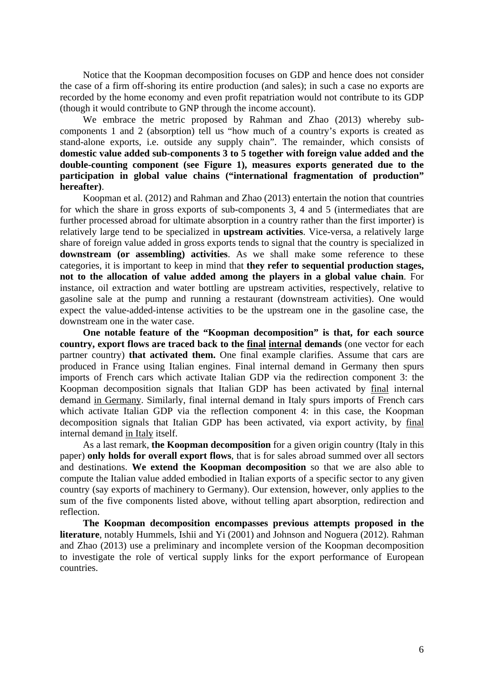Notice that the Koopman decomposition focuses on GDP and hence does not consider the case of a firm off-shoring its entire production (and sales); in such a case no exports are recorded by the home economy and even profit repatriation would not contribute to its GDP (though it would contribute to GNP through the income account).

We embrace the metric proposed by Rahman and Zhao (2013) whereby subcomponents 1 and 2 (absorption) tell us "how much of a country's exports is created as stand-alone exports, i.e. outside any supply chain". The remainder, which consists of **domestic value added sub-components 3 to 5 together with foreign value added and the double-counting component (see Figure 1), measures exports generated due to the participation in global value chains ("international fragmentation of production" hereafter)**.

Koopman et al. (2012) and Rahman and Zhao (2013) entertain the notion that countries for which the share in gross exports of sub-components 3, 4 and 5 (intermediates that are further processed abroad for ultimate absorption in a country rather than the first importer) is relatively large tend to be specialized in **upstream activities**. Vice-versa, a relatively large share of foreign value added in gross exports tends to signal that the country is specialized in **downstream (or assembling) activities**. As we shall make some reference to these categories, it is important to keep in mind that **they refer to sequential production stages, not to the allocation of value added among the players in a global value chain**. For instance, oil extraction and water bottling are upstream activities, respectively, relative to gasoline sale at the pump and running a restaurant (downstream activities). One would expect the value-added-intense activities to be the upstream one in the gasoline case, the downstream one in the water case.

**One notable feature of the "Koopman decomposition" is that, for each source country, export flows are traced back to the final internal demands** (one vector for each partner country) **that activated them.** One final example clarifies. Assume that cars are produced in France using Italian engines. Final internal demand in Germany then spurs imports of French cars which activate Italian GDP via the redirection component 3: the Koopman decomposition signals that Italian GDP has been activated by final internal demand in Germany. Similarly, final internal demand in Italy spurs imports of French cars which activate Italian GDP via the reflection component 4: in this case, the Koopman decomposition signals that Italian GDP has been activated, via export activity, by final internal demand in Italy itself.

As a last remark, **the Koopman decomposition** for a given origin country (Italy in this paper) **only holds for overall export flows**, that is for sales abroad summed over all sectors and destinations. **We extend the Koopman decomposition** so that we are also able to compute the Italian value added embodied in Italian exports of a specific sector to any given country (say exports of machinery to Germany). Our extension, however, only applies to the sum of the five components listed above, without telling apart absorption, redirection and reflection.

**The Koopman decomposition encompasses previous attempts proposed in the literature**, notably Hummels, Ishii and Yi (2001) and Johnson and Noguera (2012). Rahman and Zhao (2013) use a preliminary and incomplete version of the Koopman decomposition to investigate the role of vertical supply links for the export performance of European countries.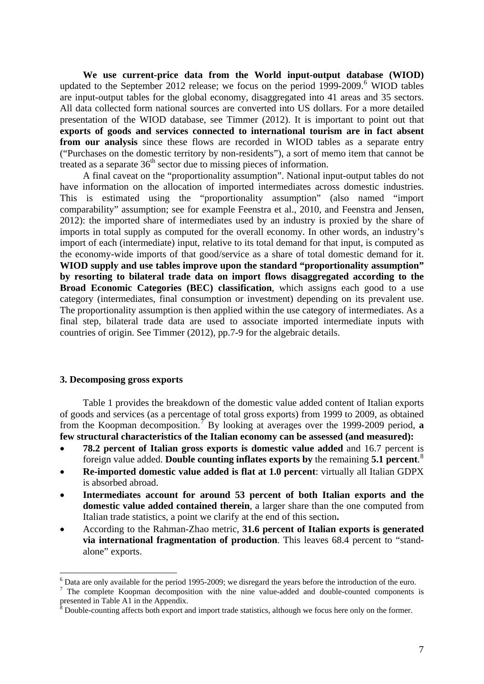**We use current-price data from the World input-output database (WIOD)** updated to the September 2012 release; we focus on the period 1999-2009.<sup>[6](#page-6-1)</sup> WIOD tables are input-output tables for the global economy, disaggregated into 41 areas and 35 sectors. All data collected form national sources are converted into US dollars. For a more detailed presentation of the WIOD database, see Timmer (2012). It is important to point out that **exports of goods and services connected to international tourism are in fact absent from our analysis** since these flows are recorded in WIOD tables as a separate entry ("Purchases on the domestic territory by non-residents"), a sort of memo item that cannot be treated as a separate  $36<sup>th</sup>$  sector due to missing pieces of information.

A final caveat on the "proportionality assumption". National input-output tables do not have information on the allocation of imported intermediates across domestic industries. This is estimated using the "proportionality assumption" (also named "import comparability" assumption; see for example Feenstra et al., 2010, and Feenstra and Jensen, 2012): the imported share of intermediates used by an industry is proxied by the share of imports in total supply as computed for the overall economy. In other words, an industry's import of each (intermediate) input, relative to its total demand for that input, is computed as the economy-wide imports of that good/service as a share of total domestic demand for it. **WIOD supply and use tables improve upon the standard "proportionality assumption" by resorting to bilateral trade data on import flows disaggregated according to the Broad Economic Categories (BEC) classification**, which assigns each good to a use category (intermediates, final consumption or investment) depending on its prevalent use. The proportionality assumption is then applied within the use category of intermediates. As a final step, bilateral trade data are used to associate imported intermediate inputs with countries of origin. See Timmer (2012), pp.7-9 for the algebraic details.

### <span id="page-6-0"></span>**3. Decomposing gross exports**

 $\overline{a}$ 

Table 1 provides the breakdown of the domestic value added content of Italian exports of goods and services (as a percentage of total gross exports) from 1999 to 2009, as obtained from the Koopman decomposition.<sup>[7](#page-6-2)</sup> By looking at averages over the 1999-2009 period, **a few structural characteristics of the Italian economy can be assessed (and measured):** 

- **78.2 percent of Italian gross exports is domestic value added** and 16.7 percent is foreign value added. **Double counting inflates exports by** the remaining **5.1 percent**. [8](#page-6-3)
- **Re-imported domestic value added is flat at 1.0 percent**: virtually all Italian GDPX is absorbed abroad.
- **Intermediates account for around 53 percent of both Italian exports and the domestic value added contained therein**, a larger share than the one computed from Italian trade statistics, a point we clarify at the end of this section**.**
- According to the Rahman-Zhao metric, **31.6 percent of Italian exports is generated via international fragmentation of production**. This leaves 68.4 percent to "standalone" exports.

<span id="page-6-1"></span> $6$  Data are only available for the period 1995-2009; we disregard the years before the introduction of the euro.

<span id="page-6-2"></span><sup>&</sup>lt;sup>7</sup> The complete Koopman decomposition with the nine value-added and double-counted components is presented in Table A1 in the Appendix.

<span id="page-6-3"></span><sup>8</sup> Double-counting affects both export and import trade statistics, although we focus here only on the former.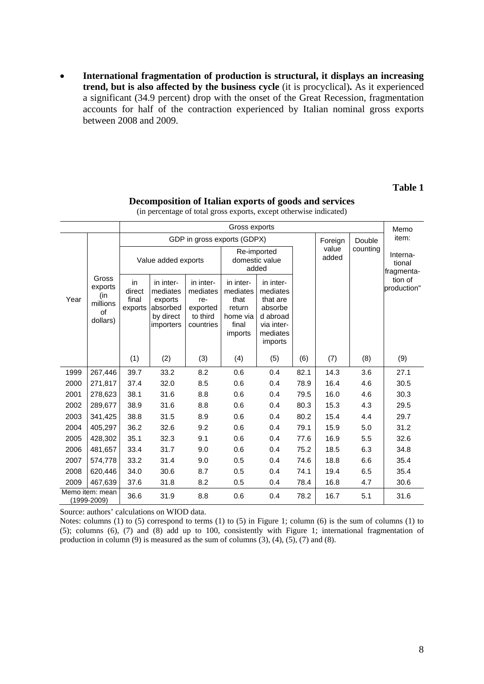**International fragmentation of production is structural, it displays an increasing trend, but is also affected by the business cycle** (it is procyclical)**.** As it experienced a significant (34.9 percent) drop with the onset of the Great Recession, fragmentation accounts for half of the contraction experienced by Italian nominal gross exports between 2008 and 2009.

# **Table 1**

|      | Gross exports                                         |                                  |                                                                        |                                                                   |                                                                         |                                                                                               |      |                |          |                                  |  |  |  |
|------|-------------------------------------------------------|----------------------------------|------------------------------------------------------------------------|-------------------------------------------------------------------|-------------------------------------------------------------------------|-----------------------------------------------------------------------------------------------|------|----------------|----------|----------------------------------|--|--|--|
|      |                                                       |                                  |                                                                        | GDP in gross exports (GDPX)                                       |                                                                         |                                                                                               |      | Foreign        | Double   | item:                            |  |  |  |
|      |                                                       |                                  | Value added exports                                                    |                                                                   | Re-imported<br>domestic value<br>added                                  |                                                                                               |      | value<br>added | counting | Interna-<br>tional<br>fragmenta- |  |  |  |
| Year | Gross<br>exports<br>(in<br>millions<br>of<br>dollars) | in<br>direct<br>final<br>exports | in inter-<br>mediates<br>exports<br>absorbed<br>by direct<br>importers | in inter-<br>mediates<br>re-<br>exported<br>to third<br>countries | in inter-<br>mediates<br>that<br>return<br>home via<br>final<br>imports | in inter-<br>mediates<br>that are<br>absorbe<br>d abroad<br>via inter-<br>mediates<br>imports |      |                |          | tion of<br>production"           |  |  |  |
|      |                                                       | (1)                              | (2)                                                                    | (3)                                                               | (4)                                                                     | (5)                                                                                           | (6)  | (7)            | (8)      | (9)                              |  |  |  |
| 1999 | 267,446                                               | 39.7                             | 33.2                                                                   | 8.2                                                               | 0.6                                                                     | 0.4                                                                                           | 82.1 | 14.3           | 3.6      | 27.1                             |  |  |  |
| 2000 | 271,817                                               | 37.4                             | 32.0                                                                   | 8.5                                                               | 0.6                                                                     | 0.4                                                                                           | 78.9 | 16.4           | 4.6      | 30.5                             |  |  |  |
| 2001 | 278,623                                               | 38.1                             | 31.6                                                                   | 8.8                                                               | 0.6                                                                     | 0.4                                                                                           | 79.5 | 16.0           | 4.6      | 30.3                             |  |  |  |
| 2002 | 289,677                                               | 38.9                             | 31.6                                                                   | 8.8                                                               | 0.6                                                                     | 0.4                                                                                           | 80.3 | 15.3           | 4.3      | 29.5                             |  |  |  |
| 2003 | 341,425                                               | 38.8                             | 31.5                                                                   | 8.9                                                               | 0.6                                                                     | 0.4                                                                                           | 80.2 | 15.4           | 4.4      | 29.7                             |  |  |  |
| 2004 | 405,297                                               | 36.2                             | 32.6                                                                   | 9.2                                                               | 0.6                                                                     | 0.4                                                                                           | 79.1 | 15.9           | 5.0      | 31.2                             |  |  |  |
| 2005 | 428,302                                               | 35.1                             | 32.3                                                                   | 9.1                                                               | 0.6                                                                     | 0.4                                                                                           | 77.6 | 16.9           | 5.5      | 32.6                             |  |  |  |
| 2006 | 481,657                                               | 33.4                             | 31.7                                                                   | 9.0                                                               | 0.6                                                                     | 0.4                                                                                           | 75.2 | 18.5           | 6.3      | 34.8                             |  |  |  |
| 2007 | 574,778                                               | 33.2                             | 31.4                                                                   | 9.0                                                               | 0.5                                                                     | 0.4                                                                                           | 74.6 | 18.8           | 6.6      | 35.4                             |  |  |  |
| 2008 | 620,446                                               | 34.0                             | 30.6                                                                   | 8.7                                                               | 0.5                                                                     | 0.4                                                                                           | 74.1 | 19.4           | 6.5      | 35.4                             |  |  |  |
| 2009 | 467,639                                               | 37.6<br>31.8<br>8.2              |                                                                        | 0.5                                                               | 0.4                                                                     | 78.4                                                                                          | 16.8 | 4.7            | 30.6     |                                  |  |  |  |
|      | Memo item: mean<br>(1999-2009)                        | 36.6                             | 31.9                                                                   | 8.8                                                               | 0.6                                                                     | 0.4                                                                                           | 78.2 | 16.7           | 5.1      | 31.6                             |  |  |  |

**Decomposition of Italian exports of goods and services**  (in percentage of total gross exports, except otherwise indicated)

Source: authors' calculations on WIOD data.

Notes: columns (1) to (5) correspond to terms (1) to (5) in Figure 1; column (6) is the sum of columns (1) to (5); columns (6), (7) and (8) add up to 100, consistently with Figure 1; international fragmentation of production in column  $(9)$  is measured as the sum of columns  $(3)$ ,  $(4)$ ,  $(5)$ ,  $(7)$  and  $(8)$ .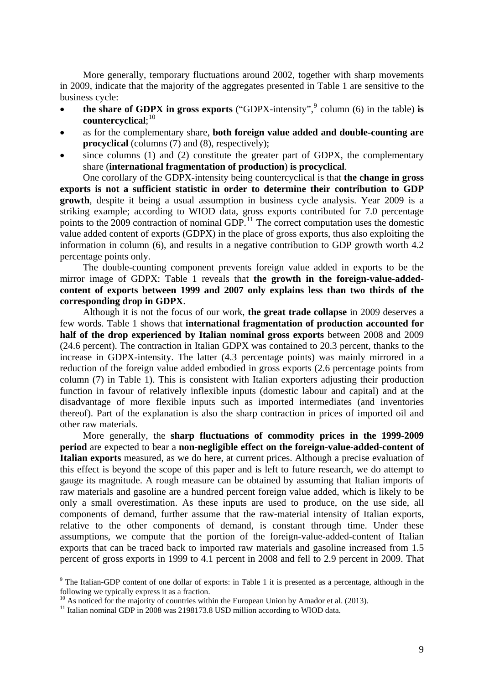More generally, temporary fluctuations around 2002, together with sharp movements in 2009, indicate that the majority of the aggregates presented in Table 1 are sensitive to the business cycle:

- the share of GDPX in gross exports ("GDPX-intensity", $9$  column (6) in the table) is **countercyclical**; [10](#page-8-1)
- as for the complementary share, **both foreign value added and double-counting are procyclical** (columns (7) and (8), respectively);
- since columns (1) and (2) constitute the greater part of GDPX, the complementary share (**international fragmentation of production**) **is procyclical**.

One corollary of the GDPX-intensity being countercyclical is that **the change in gross exports is not a sufficient statistic in order to determine their contribution to GDP growth**, despite it being a usual assumption in business cycle analysis. Year 2009 is a striking example; according to WIOD data, gross exports contributed for 7.0 percentage points to the  $2009$  contraction of nominal GDP.<sup>[11](#page-8-2)</sup> The correct computation uses the domestic value added content of exports (GDPX) in the place of gross exports, thus also exploiting the information in column (6), and results in a negative contribution to GDP growth worth 4.2 percentage points only.

The double-counting component prevents foreign value added in exports to be the mirror image of GDPX: Table 1 reveals that **the growth in the foreign-value-addedcontent of exports between 1999 and 2007 only explains less than two thirds of the corresponding drop in GDPX**.

Although it is not the focus of our work, **the great trade collapse** in 2009 deserves a few words. Table 1 shows that **international fragmentation of production accounted for half of the drop experienced by Italian nominal gross exports** between 2008 and 2009 (24.6 percent). The contraction in Italian GDPX was contained to 20.3 percent, thanks to the increase in GDPX-intensity. The latter (4.3 percentage points) was mainly mirrored in a reduction of the foreign value added embodied in gross exports (2.6 percentage points from column (7) in Table 1). This is consistent with Italian exporters adjusting their production function in favour of relatively inflexible inputs (domestic labour and capital) and at the disadvantage of more flexible inputs such as imported intermediates (and inventories thereof). Part of the explanation is also the sharp contraction in prices of imported oil and other raw materials.

More generally, the **sharp fluctuations of commodity prices in the 1999-2009 period** are expected to bear a **non-negligible effect on the foreign-value-added-content of Italian exports** measured, as we do here, at current prices. Although a precise evaluation of this effect is beyond the scope of this paper and is left to future research, we do attempt to gauge its magnitude. A rough measure can be obtained by assuming that Italian imports of raw materials and gasoline are a hundred percent foreign value added, which is likely to be only a small overestimation. As these inputs are used to produce, on the use side, all components of demand, further assume that the raw-material intensity of Italian exports, relative to the other components of demand, is constant through time. Under these assumptions, we compute that the portion of the foreign-value-added-content of Italian exports that can be traced back to imported raw materials and gasoline increased from 1.5 percent of gross exports in 1999 to 4.1 percent in 2008 and fell to 2.9 percent in 2009. That

<span id="page-8-0"></span> $9$  The Italian-GDP content of one dollar of exports: in Table 1 it is presented as a percentage, although in the following we typically express it as a fraction.<br><sup>10</sup> As noticed for the majority of countries within the European Union by Amador et al. (2013).

<span id="page-8-2"></span><span id="page-8-1"></span><sup>&</sup>lt;sup>11</sup> Italian nominal GDP in  $2008$  was 2198173.8 USD million according to WIOD data.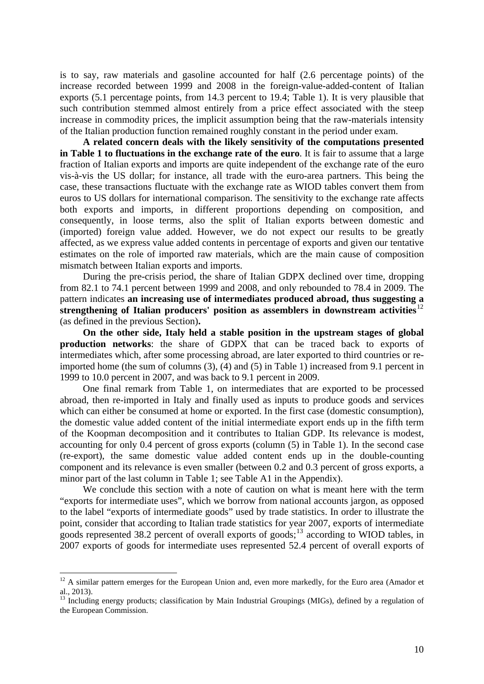is to say, raw materials and gasoline accounted for half (2.6 percentage points) of the increase recorded between 1999 and 2008 in the foreign-value-added-content of Italian exports (5.1 percentage points, from 14.3 percent to 19.4; Table 1). It is very plausible that such contribution stemmed almost entirely from a price effect associated with the steep increase in commodity prices, the implicit assumption being that the raw-materials intensity of the Italian production function remained roughly constant in the period under exam.

**A related concern deals with the likely sensitivity of the computations presented in Table 1 to fluctuations in the exchange rate of the euro**. It is fair to assume that a large fraction of Italian exports and imports are quite independent of the exchange rate of the euro vis-à-vis the US dollar; for instance, all trade with the euro-area partners. This being the case, these transactions fluctuate with the exchange rate as WIOD tables convert them from euros to US dollars for international comparison. The sensitivity to the exchange rate affects both exports and imports, in different proportions depending on composition, and consequently, in loose terms, also the split of Italian exports between domestic and (imported) foreign value added. However, we do not expect our results to be greatly affected, as we express value added contents in percentage of exports and given our tentative estimates on the role of imported raw materials, which are the main cause of composition mismatch between Italian exports and imports.

During the pre-crisis period, the share of Italian GDPX declined over time, dropping from 82.1 to 74.1 percent between 1999 and 2008, and only rebounded to 78.4 in 2009. The pattern indicates **an increasing use of intermediates produced abroad, thus suggesting a strengthening of Italian producers' position as assemblers in downstream activities**[12](#page-9-0) (as defined in the previous Section)**.**

**On the other side, Italy held a stable position in the upstream stages of global production networks**: the share of GDPX that can be traced back to exports of intermediates which, after some processing abroad, are later exported to third countries or reimported home (the sum of columns (3), (4) and (5) in Table 1) increased from 9.1 percent in 1999 to 10.0 percent in 2007, and was back to 9.1 percent in 2009.

One final remark from Table 1, on intermediates that are exported to be processed abroad, then re-imported in Italy and finally used as inputs to produce goods and services which can either be consumed at home or exported. In the first case (domestic consumption), the domestic value added content of the initial intermediate export ends up in the fifth term of the Koopman decomposition and it contributes to Italian GDP. Its relevance is modest, accounting for only 0.4 percent of gross exports (column (5) in Table 1). In the second case (re-export), the same domestic value added content ends up in the double-counting component and its relevance is even smaller (between 0.2 and 0.3 percent of gross exports, a minor part of the last column in Table 1; see Table A1 in the Appendix).

We conclude this section with a note of caution on what is meant here with the term "exports for intermediate uses", which we borrow from national accounts jargon, as opposed to the label "exports of intermediate goods" used by trade statistics. In order to illustrate the point, consider that according to Italian trade statistics for year 2007, exports of intermediate goods represented 38.2 percent of overall exports of goods; $^{13}$  $^{13}$  $^{13}$  according to WIOD tables, in 2007 exports of goods for intermediate uses represented 52.4 percent of overall exports of

<span id="page-9-0"></span> $12$  A similar pattern emerges for the European Union and, even more markedly, for the Euro area (Amador et al., 2013).

<span id="page-9-1"></span><sup>&</sup>lt;sup>13</sup> Including energy products; classification by Main Industrial Groupings (MIGs), defined by a regulation of the European Commission.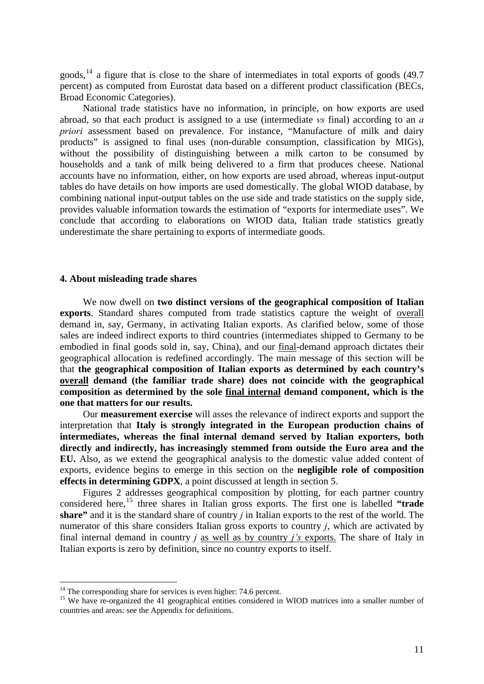goods,  $^{14}$  $^{14}$  $^{14}$  a figure that is close to the share of intermediates in total exports of goods (49.7) percent) as computed from Eurostat data based on a different product classification (BECs, Broad Economic Categories).

National trade statistics have no information, in principle, on how exports are used abroad, so that each product is assigned to a use (intermediate *vs* final) according to an *a priori* assessment based on prevalence. For instance, "Manufacture of milk and dairy products" is assigned to final uses (non-durable consumption, classification by MIGs), without the possibility of distinguishing between a milk carton to be consumed by households and a tank of milk being delivered to a firm that produces cheese. National accounts have no information, either, on how exports are used abroad, whereas input-output tables do have details on how imports are used domestically. The global WIOD database, by combining national input-output tables on the use side and trade statistics on the supply side, provides valuable information towards the estimation of "exports for intermediate uses". We conclude that according to elaborations on WIOD data, Italian trade statistics greatly underestimate the share pertaining to exports of intermediate goods.

### <span id="page-10-0"></span>**4. About misleading trade shares**

We now dwell on **two distinct versions of the geographical composition of Italian exports**. Standard shares computed from trade statistics capture the weight of overall demand in, say, Germany, in activating Italian exports. As clarified below, some of those sales are indeed indirect exports to third countries (intermediates shipped to Germany to be embodied in final goods sold in, say, China), and our final-demand approach dictates their geographical allocation is redefined accordingly. The main message of this section will be that **the geographical composition of Italian exports as determined by each country's overall demand (the familiar trade share) does not coincide with the geographical composition as determined by the sole final internal demand component, which is the one that matters for our results.** 

Our **measurement exercise** will asses the relevance of indirect exports and support the interpretation that **Italy is strongly integrated in the European production chains of intermediates, whereas the final internal demand served by Italian exporters, both directly and indirectly, has increasingly stemmed from outside the Euro area and the EU.** Also, as we extend the geographical analysis to the domestic value added content of exports, evidence begins to emerge in this section on the **negligible role of composition effects in determining GDPX**, a point discussed at length in section 5.

Figures 2 addresses geographical composition by plotting, for each partner country considered here,[15](#page-10-2) three shares in Italian gross exports. The first one is labelled **"trade share"** and it is the standard share of country *j* in Italian exports to the rest of the world. The numerator of this share considers Italian gross exports to country *j*, which are activated by final internal demand in country *j* as well as by country *j's* exports. The share of Italy in Italian exports is zero by definition, since no country exports to itself.

<span id="page-10-1"></span> $14$  The corresponding share for services is even higher: 74.6 percent.

<span id="page-10-2"></span> $15$  We have re-organized the 41 geographical entities considered in WIOD matrices into a smaller number of countries and areas: see the Appendix for definitions.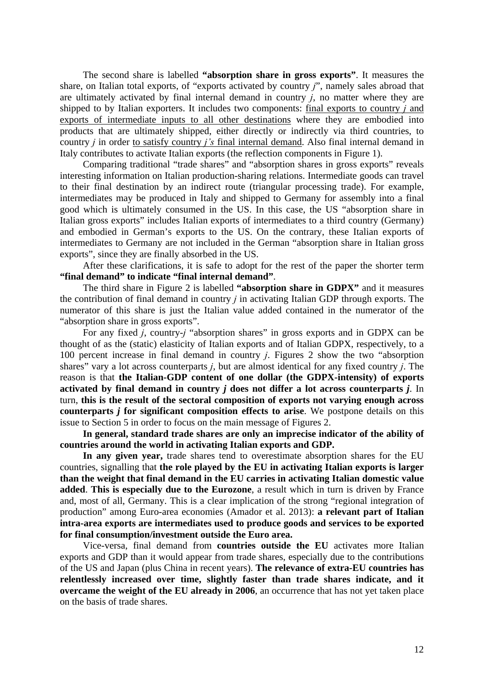The second share is labelled **"absorption share in gross exports"**. It measures the share, on Italian total exports, of "exports activated by country *j*", namely sales abroad that are ultimately activated by final internal demand in country *j*, no matter where they are shipped to by Italian exporters. It includes two components: final exports to country *j* and exports of intermediate inputs to all other destinations where they are embodied into products that are ultimately shipped, either directly or indirectly via third countries, to country *j* in order to satisfy country *j's* final internal demand. Also final internal demand in Italy contributes to activate Italian exports (the reflection components in Figure 1).

Comparing traditional "trade shares" and "absorption shares in gross exports" reveals interesting information on Italian production-sharing relations. Intermediate goods can travel to their final destination by an indirect route (triangular processing trade). For example, intermediates may be produced in Italy and shipped to Germany for assembly into a final good which is ultimately consumed in the US. In this case, the US "absorption share in Italian gross exports" includes Italian exports of intermediates to a third country (Germany) and embodied in German's exports to the US. On the contrary, these Italian exports of intermediates to Germany are not included in the German "absorption share in Italian gross exports", since they are finally absorbed in the US.

After these clarifications, it is safe to adopt for the rest of the paper the shorter term **"final demand" to indicate "final internal demand"**.

The third share in Figure 2 is labelled **"absorption share in GDPX"** and it measures the contribution of final demand in country *j* in activating Italian GDP through exports. The numerator of this share is just the Italian value added contained in the numerator of the "absorption share in gross exports".

For any fixed *j*, country-*j* "absorption shares" in gross exports and in GDPX can be thought of as the (static) elasticity of Italian exports and of Italian GDPX, respectively, to a 100 percent increase in final demand in country *j*. Figures 2 show the two "absorption shares" vary a lot across counterparts *j*, but are almost identical for any fixed country *j*. The reason is that **the Italian-GDP content of one dollar (the GDPX-intensity) of exports activated by final demand in country** *j* **does not differ a lot across counterparts** *j*. In turn, **this is the result of the sectoral composition of exports not varying enough across counterparts** *j* **for significant composition effects to arise**. We postpone details on this issue to Section 5 in order to focus on the main message of Figures 2.

**In general, standard trade shares are only an imprecise indicator of the ability of countries around the world in activating Italian exports and GDP.**

**In any given year,** trade shares tend to overestimate absorption shares for the EU countries, signalling that **the role played by the EU in activating Italian exports is larger than the weight that final demand in the EU carries in activating Italian domestic value added**. **This is especially due to the Eurozone**, a result which in turn is driven by France and, most of all, Germany. This is a clear implication of the strong "regional integration of production" among Euro-area economies (Amador et al. 2013): **a relevant part of Italian intra-area exports are intermediates used to produce goods and services to be exported for final consumption/investment outside the Euro area.** 

Vice-versa, final demand from **countries outside the EU** activates more Italian exports and GDP than it would appear from trade shares, especially due to the contributions of the US and Japan (plus China in recent years). **The relevance of extra-EU countries has relentlessly increased over time, slightly faster than trade shares indicate, and it overcame the weight of the EU already in 2006**, an occurrence that has not yet taken place on the basis of trade shares.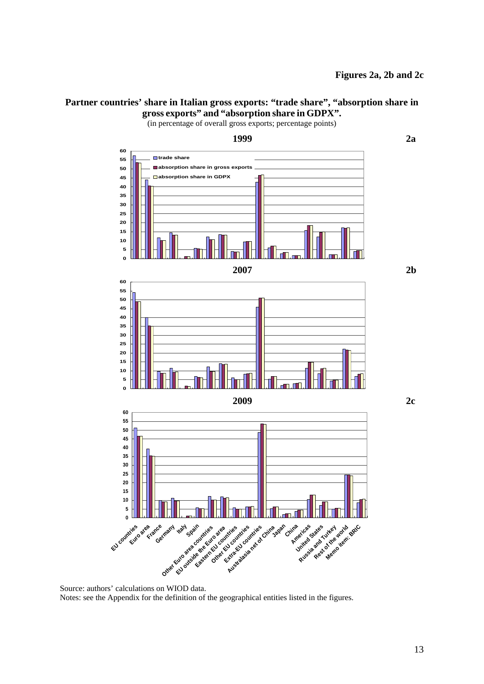### Partner countries' share in Italian gross exports: "trade share", "absorption share in **gross exports" and "absorption share in GDPX".**

(in percentage of overall gross exports; percentage points)



Source: authors' calculations on WIOD data. Notes: see the Appendix for the definition of the geographical entities listed in the figures.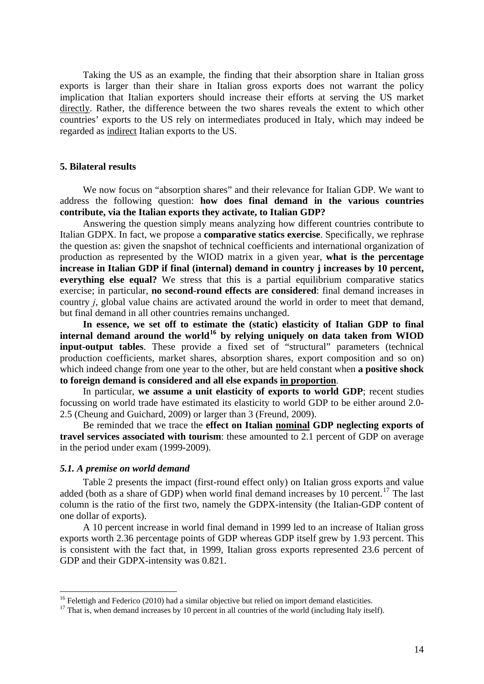Taking the US as an example, the finding that their absorption share in Italian gross exports is larger than their share in Italian gross exports does not warrant the policy implication that Italian exporters should increase their efforts at serving the US market directly. Rather, the difference between the two shares reveals the extent to which other countries' exports to the US rely on intermediates produced in Italy, which may indeed be regarded as indirect Italian exports to the US.

### <span id="page-13-0"></span>**5. Bilateral results**

We now focus on "absorption shares" and their relevance for Italian GDP. We want to address the following question: **how does final demand in the various countries contribute, via the Italian exports they activate, to Italian GDP?**

Answering the question simply means analyzing how different countries contribute to Italian GDPX. In fact, we propose a **comparative statics exercise**. Specifically, we rephrase the question as: given the snapshot of technical coefficients and international organization of production as represented by the WIOD matrix in a given year, **what is the percentage increase in Italian GDP if final (internal) demand in country j increases by 10 percent, everything else equal?** We stress that this is a partial equilibrium comparative statics exercise; in particular, **no second-round effects are considered**: final demand increases in country *j*, global value chains are activated around the world in order to meet that demand, but final demand in all other countries remains unchanged.

**In essence, we set off to estimate the (static) elasticity of Italian GDP to final internal demand around the world[16](#page-13-2) by relying uniquely on data taken from WIOD input-output tables**. These provide a fixed set of "structural" parameters (technical production coefficients, market shares, absorption shares, export composition and so on) which indeed change from one year to the other, but are held constant when **a positive shock to foreign demand is considered and all else expands in proportion**.

In particular, **we assume a unit elasticity of exports to world GDP**; recent studies focussing on world trade have estimated its elasticity to world GDP to be either around 2.0- 2.5 (Cheung and Guichard, 2009) or larger than 3 (Freund, 2009).

Be reminded that we trace the **effect on Italian nominal GDP neglecting exports of travel services associated with tourism**: these amounted to 2.1 percent of GDP on average in the period under exam (1999-2009).

### <span id="page-13-1"></span>*5.1. A premise on world demand*

 $\overline{a}$ 

Table 2 presents the impact (first-round effect only) on Italian gross exports and value added (both as a share of GDP) when world final demand increases by 10 percent.<sup>[17](#page-13-3)</sup> The last column is the ratio of the first two, namely the GDPX-intensity (the Italian-GDP content of one dollar of exports).

A 10 percent increase in world final demand in 1999 led to an increase of Italian gross exports worth 2.36 percentage points of GDP whereas GDP itself grew by 1.93 percent. This is consistent with the fact that, in 1999, Italian gross exports represented 23.6 percent of GDP and their GDPX-intensity was 0.821.

<span id="page-13-3"></span><span id="page-13-2"></span><sup>&</sup>lt;sup>16</sup> Felettigh and Federico (2010) had a similar objective but relied on import demand elasticities.<br><sup>17</sup> That is, when demand increases by 10 percent in all countries of the world (including Italy itself).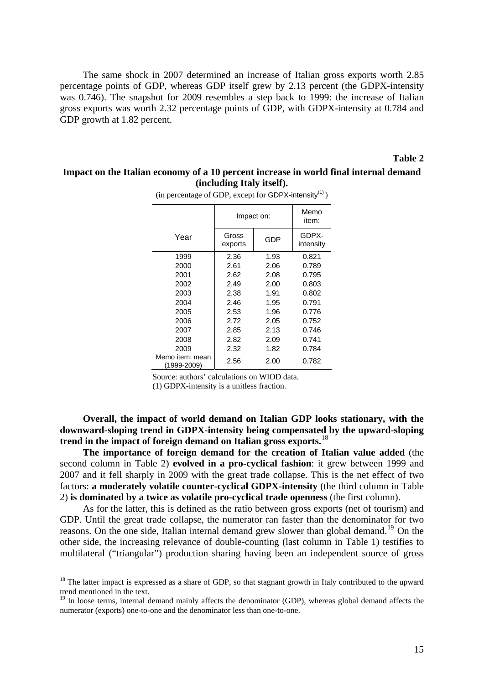The same shock in 2007 determined an increase of Italian gross exports worth 2.85 percentage points of GDP, whereas GDP itself grew by 2.13 percent (the GDPX-intensity was 0.746). The snapshot for 2009 resembles a step back to 1999: the increase of Italian gross exports was worth 2.32 percentage points of GDP, with GDPX-intensity at 0.784 and GDP growth at 1.82 percent.

#### **Table 2**

### **Impact on the Italian economy of a 10 percent increase in world final internal demand (including Italy itself).**

|                                | Impact on:       | Memo<br>item: |                    |
|--------------------------------|------------------|---------------|--------------------|
| Year                           | Gross<br>exports | GDP           | GDPX-<br>intensity |
| 1999                           | 2.36             | 1.93          | 0.821              |
| 2000                           | 2.61             | 2.06          | 0.789              |
| 2001                           | 2.62             | 2.08          | 0.795              |
| 2002                           | 2.49             | 2.00          | 0.803              |
| 2003                           | 2.38             | 1.91          | 0.802              |
| 2004                           | 2.46             | 1.95          | 0.791              |
| 2005                           | 2.53             | 1.96          | 0.776              |
| 2006                           | 2.72             | 2.05          | 0.752              |
| 2007                           | 2.85             | 2.13          | 0.746              |
| 2008                           | 2.82             | 2.09          | 0.741              |
| 2009                           | 2.32             | 1.82          | 0.784              |
| Memo item: mean<br>(1999-2009) | 2.56             | 2.00          | 0.782              |

(in percentage of GDP, except for GDPX-intensity $(1)$ )

Source: authors' calculations on WIOD data.

(1) GDPX-intensity is a unitless fraction.

**Overall, the impact of world demand on Italian GDP looks stationary, with the downward-sloping trend in GDPX-intensity being compensated by the upward-sloping trend in the impact of foreign demand on Italian gross exports.**[18](#page-14-0)

**The importance of foreign demand for the creation of Italian value added** (the second column in Table 2) **evolved in a pro-cyclical fashion**: it grew between 1999 and 2007 and it fell sharply in 2009 with the great trade collapse. This is the net effect of two factors: **a moderately volatile counter-cyclical GDPX-intensity** (the third column in Table 2) **is dominated by a twice as volatile pro-cyclical trade openness** (the first column).

As for the latter, this is defined as the ratio between gross exports (net of tourism) and GDP. Until the great trade collapse, the numerator ran faster than the denominator for two reasons. On the one side, Italian internal demand grew slower than global demand.<sup>[19](#page-14-1)</sup> On the other side, the increasing relevance of double-counting (last column in Table 1) testifies to multilateral ("triangular") production sharing having been an independent source of gross

<span id="page-14-0"></span><sup>&</sup>lt;sup>18</sup> The latter impact is expressed as a share of GDP, so that stagnant growth in Italy contributed to the upward trend mentioned in the text.

<span id="page-14-1"></span> $19$  In loose terms, internal demand mainly affects the denominator (GDP), whereas global demand affects the numerator (exports) one-to-one and the denominator less than one-to-one.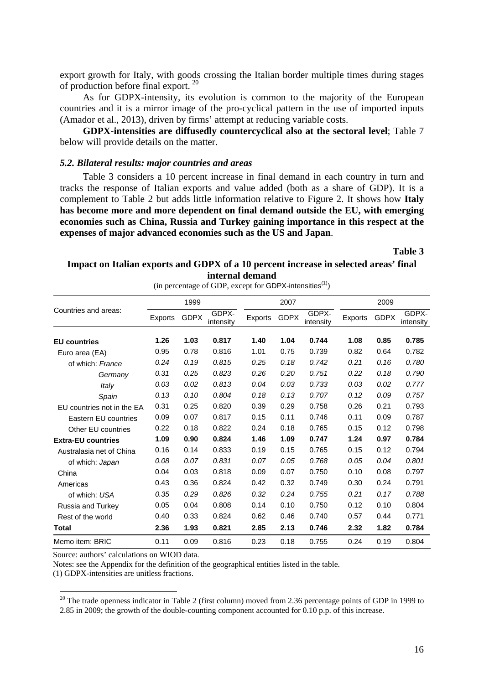export growth for Italy, with goods crossing the Italian border multiple times during stages of production before final export.<sup>[20](#page-15-1)</sup>

As for GDPX-intensity, its evolution is common to the majority of the European countries and it is a mirror image of the pro-cyclical pattern in the use of imported inputs (Amador et al., 2013), driven by firms' attempt at reducing variable costs.

**GDPX-intensities are diffusedly countercyclical also at the sectoral level**; Table 7 below will provide details on the matter.

### <span id="page-15-0"></span>*5.2. Bilateral results: major countries and areas*

Table 3 considers a 10 percent increase in final demand in each country in turn and tracks the response of Italian exports and value added (both as a share of GDP). It is a complement to Table 2 but adds little information relative to Figure 2. It shows how **Italy has become more and more dependent on final demand outside the EU, with emerging economies such as China, Russia and Turkey gaining importance in this respect at the expenses of major advanced economies such as the US and Japan**.

**Table 3** 

### **Impact on Italian exports and GDPX of a 10 percent increase in selected areas' final internal demand**

|                            |         | 1999        |                    |         | 2007        |                    | 2009    |             |                    |  |  |
|----------------------------|---------|-------------|--------------------|---------|-------------|--------------------|---------|-------------|--------------------|--|--|
| Countries and areas:       | Exports | <b>GDPX</b> | GDPX-<br>intensity | Exports | <b>GDPX</b> | GDPX-<br>intensity | Exports | <b>GDPX</b> | GDPX-<br>intensity |  |  |
| <b>EU</b> countries        | 1.26    | 1.03        | 0.817              | 1.40    | 1.04        | 0.744              | 1.08    | 0.85        | 0.785              |  |  |
| Euro area (EA)             | 0.95    | 0.78        | 0.816              | 1.01    | 0.75        | 0.739              | 0.82    | 0.64        | 0.782              |  |  |
| of which: France           | 0.24    | 0.19        | 0.815              | 0.25    | 0.18        | 0.742              | 0.21    | 0.16        | 0.780              |  |  |
| Germany                    | 0.31    | 0.25        | 0.823              | 0.26    | 0.20        | 0.751              | 0.22    | 0.18        | 0.790              |  |  |
| Italy                      | 0.03    | 0.02        | 0.813              | 0.04    | 0.03        | 0.733              | 0.03    | 0.02        | 0.777              |  |  |
| Spain                      | 0.13    | 0.10        | 0.804              | 0.18    | 0.13        | 0.707              | 0.12    | 0.09        | 0.757              |  |  |
| EU countries not in the EA | 0.31    | 0.25        | 0.820              | 0.39    | 0.29        | 0.758              | 0.26    | 0.21        | 0.793              |  |  |
| Eastern EU countries       | 0.09    | 0.07        | 0.817              | 0.15    | 0.11        | 0.746              | 0.11    | 0.09        | 0.787              |  |  |
| Other EU countries         | 0.22    | 0.18        | 0.822              | 0.24    | 0.18        | 0.765              | 0.15    | 0.12        | 0.798              |  |  |
| <b>Extra-EU countries</b>  | 1.09    | 0.90        | 0.824              | 1.46    | 1.09        | 0.747              | 1.24    | 0.97        | 0.784              |  |  |
| Australasia net of China   | 0.16    | 0.14        | 0.833              | 0.19    | 0.15        | 0.765              | 0.15    | 0.12        | 0.794              |  |  |
| of which: Japan            | 0.08    | 0.07        | 0.831              | 0.07    | 0.05        | 0.768              | 0.05    | 0.04        | 0.801              |  |  |
| China                      | 0.04    | 0.03        | 0.818              | 0.09    | 0.07        | 0.750              | 0.10    | 0.08        | 0.797              |  |  |
| Americas                   | 0.43    | 0.36        | 0.824              | 0.42    | 0.32        | 0.749              | 0.30    | 0.24        | 0.791              |  |  |
| of which: USA              | 0.35    | 0.29        | 0.826              | 0.32    | 0.24        | 0.755              | 0.21    | 0.17        | 0.788              |  |  |
| Russia and Turkey          | 0.05    | 0.04        | 0.808              | 0.14    | 0.10        | 0.750              | 0.12    | 0.10        | 0.804              |  |  |
| Rest of the world          | 0.40    | 0.33        | 0.824              | 0.62    | 0.46        | 0.740              | 0.57    | 0.44        | 0.771              |  |  |
| Total                      | 2.36    | 1.93        | 0.821              | 2.85    | 2.13        | 0.746              | 2.32    | 1.82        | 0.784              |  |  |
| Memo item: BRIC            | 0.11    | 0.09        | 0.816              | 0.23    | 0.18        | 0.755              | 0.24    | 0.19        | 0.804              |  |  |

(in percentage of GDP, except for GDPX-intensities $(1)$ )

Source: authors' calculations on WIOD data.

Notes: see the Appendix for the definition of the geographical entities listed in the table.

<span id="page-15-1"></span>(1) GDPX-intensities are unitless fractions.

 $\overline{a}$ 

2.85 in 2009; the growth of the double-counting component accounted for 0.10 p.p. of this increase.

<sup>&</sup>lt;sup>20</sup> The trade openness indicator in Table 2 (first column) moved from 2.36 percentage points of GDP in 1999 to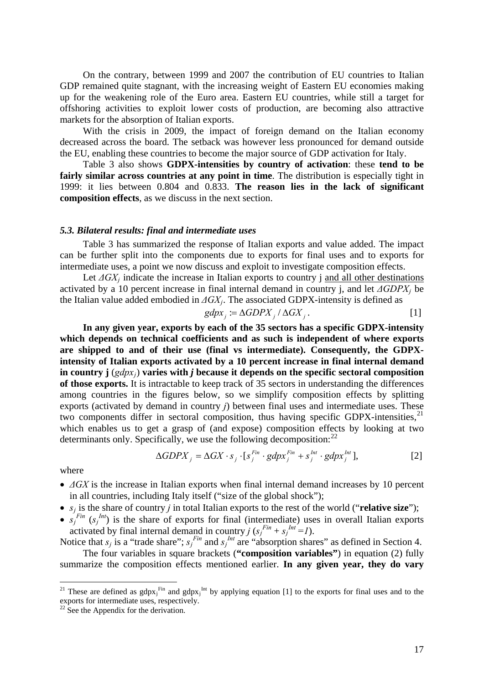On the contrary, between 1999 and 2007 the contribution of EU countries to Italian GDP remained quite stagnant, with the increasing weight of Eastern EU economies making up for the weakening role of the Euro area. Eastern EU countries, while still a target for offshoring activities to exploit lower costs of production, are becoming also attractive markets for the absorption of Italian exports.

With the crisis in 2009, the impact of foreign demand on the Italian economy decreased across the board. The setback was however less pronounced for demand outside the EU, enabling these countries to become the major source of GDP activation for Italy.

Table 3 also shows **GDPX-intensities by country of activation**: these **tend to be fairly similar across countries at any point in time**. The distribution is especially tight in 1999: it lies between 0.804 and 0.833. **The reason lies in the lack of significant composition effects**, as we discuss in the next section.

#### <span id="page-16-0"></span>*5.3. Bilateral results: final and intermediate uses*

Table 3 has summarized the response of Italian exports and value added. The impact can be further split into the components due to exports for final uses and to exports for intermediate uses, a point we now discuss and exploit to investigate composition effects.

Let  $\Delta G X_i$  indicate the increase in Italian exports to country i and all other destinations activated by a 10 percent increase in final internal demand in country j, and let *ΔGDPXj* be the Italian value added embodied in *ΔGXj*. The associated GDPX-intensity is defined as

$$
gdpx_j := \Delta GDPX_j / \Delta GX_j. \tag{1}
$$

**In any given year, exports by each of the 35 sectors has a specific GDPX-intensity which depends on technical coefficients and as such is independent of where exports are shipped to and of their use (final vs intermediate). Consequently, the GDPXintensity of Italian exports activated by a 10 percent increase in final internal demand in country j** (*gdpxj*) **varies with** *j* **because it depends on the specific sectoral composition of those exports.** It is intractable to keep track of 35 sectors in understanding the differences among countries in the figures below, so we simplify composition effects by splitting exports (activated by demand in country *j*) between final uses and intermediate uses. These two components differ in sectoral composition, thus having specific GDPX-intensities, $^{21}$  $^{21}$  $^{21}$ which enables us to get a grasp of (and expose) composition effects by looking at two determinants only. Specifically, we use the following decomposition:  $2^2$ 

$$
\Delta GDPX_j = \Delta GX \cdot s_j \cdot [s_j^{Fin} \cdot gdpx_j^{Fin} + s_j^{Int} \cdot gdpx_j^{Int}], \qquad [2]
$$

where

 $\overline{a}$ 

- *ΔGX* is the increase in Italian exports when final internal demand increases by 10 percent in all countries, including Italy itself ("size of the global shock");
- $s_i$  is the share of country *j* in total Italian exports to the rest of the world ("**relative size**");
- $s_j^{Fin}$  ( $s_j^{Int}$ ) is the share of exports for final (intermediate) uses in overall Italian exports activated by final internal demand in country *j* ( $s_j^{Fin} + s_j^{Int} = I$ ).

Notice that  $s_j$  is a "trade share";  $s_j$ <sup>Fin</sup> and  $s_j$ <sup>Int</sup> are "absorption shares" as defined in Section 4.

The four variables in square brackets (**"composition variables"**) in equation (2) fully summarize the composition effects mentioned earlier. **In any given year, they do vary** 

<span id="page-16-1"></span><sup>&</sup>lt;sup>21</sup> These are defined as  $gdpx_j^{Fin}$  and  $gdpx_j^{Int}$  by applying equation [1] to the exports for final uses and to the exports for intermediate uses, respectively.

<span id="page-16-2"></span> $22 \text{ See the Appendix for the derivation.}$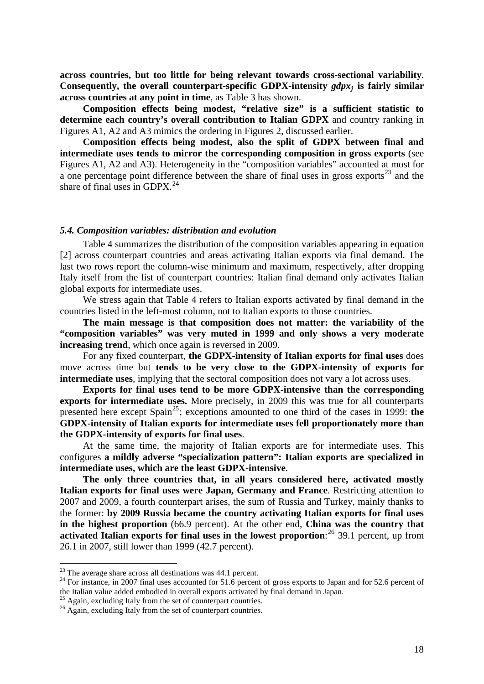**across countries, but too little for being relevant towards cross-sectional variability**. **Consequently, the overall counterpart-specific GDPX-intensity** *gdpxj* **is fairly similar across countries at any point in time**, as Table 3 has shown.

**Composition effects being modest, "relative size" is a sufficient statistic to determine each country's overall contribution to Italian GDPX** and country ranking in Figures A1, A2 and A3 mimics the ordering in Figures 2, discussed earlier.

**Composition effects being modest, also the split of GDPX between final and intermediate uses tends to mirror the corresponding composition in gross exports** (see Figures A1, A2 and A3). Heterogeneity in the "composition variables" accounted at most for a one percentage point difference between the share of final uses in gross exports<sup>[23](#page-17-1)</sup> and the share of final uses in GDPX. $^{24}$  $^{24}$  $^{24}$ 

#### <span id="page-17-0"></span>*5.4. Composition variables: distribution and evolution*

Table 4 summarizes the distribution of the composition variables appearing in equation [2] across counterpart countries and areas activating Italian exports via final demand. The last two rows report the column-wise minimum and maximum, respectively, after dropping Italy itself from the list of counterpart countries: Italian final demand only activates Italian global exports for intermediate uses.

We stress again that Table 4 refers to Italian exports activated by final demand in the countries listed in the left-most column, not to Italian exports to those countries.

**The main message is that composition does not matter: the variability of the "composition variables" was very muted in 1999 and only shows a very moderate increasing trend**, which once again is reversed in 2009.

For any fixed counterpart, **the GDPX-intensity of Italian exports for final uses** does move across time but **tends to be very close to the GDPX-intensity of exports for intermediate uses**, implying that the sectoral composition does not vary a lot across uses.

**Exports for final uses tend to be more GDPX-intensive than the corresponding exports for intermediate uses.** More precisely, in 2009 this was true for all counterparts presented here except Spain<sup>[25](#page-17-3)</sup>; exceptions amounted to one third of the cases in 1999: **the GDPX-intensity of Italian exports for intermediate uses fell proportionately more than the GDPX-intensity of exports for final uses**.

At the same time, the majority of Italian exports are for intermediate uses. This configures **a mildly adverse "specialization pattern": Italian exports are specialized in intermediate uses, which are the least GDPX-intensive**.

**The only three countries that, in all years considered here, activated mostly Italian exports for final uses were Japan, Germany and France**. Restricting attention to 2007 and 2009, a fourth counterpart arises, the sum of Russia and Turkey, mainly thanks to the former: **by 2009 Russia became the country activating Italian exports for final uses in the highest proportion** (66.9 percent). At the other end, **China was the country that**  activated Italian exports for final uses in the lowest proportion:<sup>[26](#page-17-4)</sup> 39.1 percent, up from 26.1 in 2007, still lower than 1999 (42.7 percent).

<span id="page-17-2"></span>

<span id="page-17-1"></span><sup>&</sup>lt;sup>23</sup> The average share across all destinations was 44.1 percent.<br><sup>24</sup> For instance, in 2007 final uses accounted for 51.6 percent of gross exports to Japan and for 52.6 percent of the Italian value added embodied in overall exports activated by final demand in Japan.<br><sup>25</sup> Again, excluding Italy from the set of counterpart countries.

<span id="page-17-3"></span>

<span id="page-17-4"></span><sup>25</sup> Again, excluding Italy from the set of counterpart countries. 26 Again, excluding Italy from the set of counterpart countries.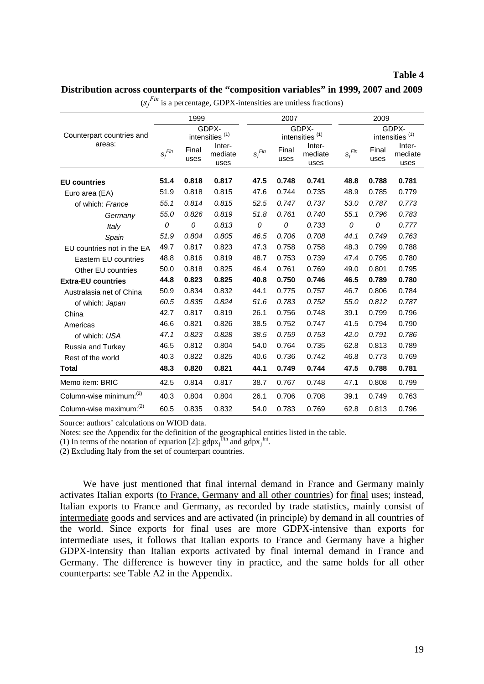### **Table 4**

### **Distribution across counterparts of the "composition variables" in 1999, 2007 and 2009**

| $\sim$ 1                            |             |               |                            |             |               |                            |                      |               |                            |  |  |
|-------------------------------------|-------------|---------------|----------------------------|-------------|---------------|----------------------------|----------------------|---------------|----------------------------|--|--|
|                                     |             | 1999          |                            |             | 2007          |                            | 2009                 |               |                            |  |  |
|                                     |             |               | GDPX-                      |             |               | GDPX-                      |                      |               | GDPX-                      |  |  |
| Counterpart countries and<br>areas: |             |               | intensities <sup>(1)</sup> |             |               | intensities <sup>(1)</sup> |                      |               | intensities <sup>(1)</sup> |  |  |
|                                     | $s_i^{Fin}$ | Final<br>uses | Inter-<br>mediate<br>uses  | $s_i^{Fin}$ | Final<br>uses | Inter-<br>mediate<br>uses  | $s_i$ <sup>Fin</sup> | Final<br>uses | Inter-<br>mediate<br>uses  |  |  |
| <b>EU</b> countries                 | 51.4        | 0.818         | 0.817                      | 47.5        | 0.748         | 0.741                      | 48.8                 | 0.788         | 0.781                      |  |  |
| Euro area (EA)                      | 51.9        | 0.818         | 0.815                      | 47.6        | 0.744         | 0.735                      | 48.9                 | 0.785         | 0.779                      |  |  |
| of which: France                    | 55.1        | 0.814         | 0.815                      | 52.5        | 0.747         | 0.737                      | 53.0                 | 0.787         | 0.773                      |  |  |
| Germany                             | 55.0        | 0.826         | 0.819                      | 51.8        | 0.761         | 0.740                      | 55.1                 | 0.796         | 0.783                      |  |  |
| Italy                               | 0           | 0             | 0.813                      | 0           | 0             | 0.733                      | 0                    | 0             | 0.777                      |  |  |
| Spain                               | 51.9        | 0.804         | 0.805                      | 46.5        | 0.706         | 0.708                      | 44.1                 | 0.749         | 0.763                      |  |  |
| EU countries not in the EA          | 49.7        | 0.817         | 0.823                      | 47.3        | 0.758         | 0.758                      | 48.3                 | 0.799         | 0.788                      |  |  |
| Eastern EU countries                | 48.8        | 0.816         | 0.819                      | 48.7        | 0.753         | 0.739                      | 47.4                 | 0.795         | 0.780                      |  |  |
| Other EU countries                  | 50.0        | 0.818         | 0.825                      | 46.4        | 0.761         | 0.769                      | 49.0                 | 0.801         | 0.795                      |  |  |
| <b>Extra-EU countries</b>           | 44.8        | 0.823         | 0.825                      | 40.8        | 0.750         | 0.746                      | 46.5                 | 0.789         | 0.780                      |  |  |
| Australasia net of China            | 50.9        | 0.834         | 0.832                      | 44.1        | 0.775         | 0.757                      | 46.7                 | 0.806         | 0.784                      |  |  |
| of which: Japan                     | 60.5        | 0.835         | 0.824                      | 51.6        | 0.783         | 0.752                      | 55.0                 | 0.812         | 0.787                      |  |  |
| China                               | 42.7        | 0.817         | 0.819                      | 26.1        | 0.756         | 0.748                      | 39.1                 | 0.799         | 0.796                      |  |  |
| Americas                            | 46.6        | 0.821         | 0.826                      | 38.5        | 0.752         | 0.747                      | 41.5                 | 0.794         | 0.790                      |  |  |
| of which: USA                       | 47.1        | 0.823         | 0.828                      | 38.5        | 0.759         | 0.753                      | 42.0                 | 0.791         | 0.786                      |  |  |
| Russia and Turkey                   | 46.5        | 0.812         | 0.804                      | 54.0        | 0.764         | 0.735                      | 62.8                 | 0.813         | 0.789                      |  |  |
| Rest of the world                   | 40.3        | 0.822         | 0.825                      | 40.6        | 0.736         | 0.742                      | 46.8                 | 0.773         | 0.769                      |  |  |
| <b>Total</b>                        | 48.3        | 0.820         | 0.821                      | 44.1        | 0.749         | 0.744                      | 47.5                 | 0.788         | 0.781                      |  |  |
| Memo item: BRIC                     | 42.5        | 0.814         | 0.817                      | 38.7        | 0.767         | 0.748                      | 47.1                 | 0.808         | 0.799                      |  |  |
| Column-wise minimum: <sup>(2)</sup> | 40.3        | 0.804         | 0.804                      | 26.1        | 0.706         | 0.708                      | 39.1                 | 0.749         | 0.763                      |  |  |
| Column-wise maximum: <sup>(2)</sup> | 60.5        | 0.835         | 0.832                      | 54.0        | 0.783         | 0.769                      | 62.8                 | 0.813         | 0.796                      |  |  |

 $(s_j^{Fin})$  is a percentage, GDPX-intensities are unitless fractions)

Source: authors' calculations on WIOD data.

Notes: see the Appendix for the definition of the geographical entities listed in the table.

(1) In terms of the notation of equation [2]:  $\frac{1}{2}$  and  $\frac{1}{2}$  gdpx<sub>j</sub><sup>Int</sup>.

 $(2)$  Excluding Italy from the set of counterpart countries.

We have just mentioned that final internal demand in France and Germany mainly activates Italian exports (to France, Germany and all other countries) for final uses; instead, Italian exports to France and Germany, as recorded by trade statistics, mainly consist of intermediate goods and services and are activated (in principle) by demand in all countries of the world. Since exports for final uses are more GDPX-intensive than exports for intermediate uses, it follows that Italian exports to France and Germany have a higher GDPX-intensity than Italian exports activated by final internal demand in France and Germany. The difference is however tiny in practice, and the same holds for all other counterparts: see Table A2 in the Appendix.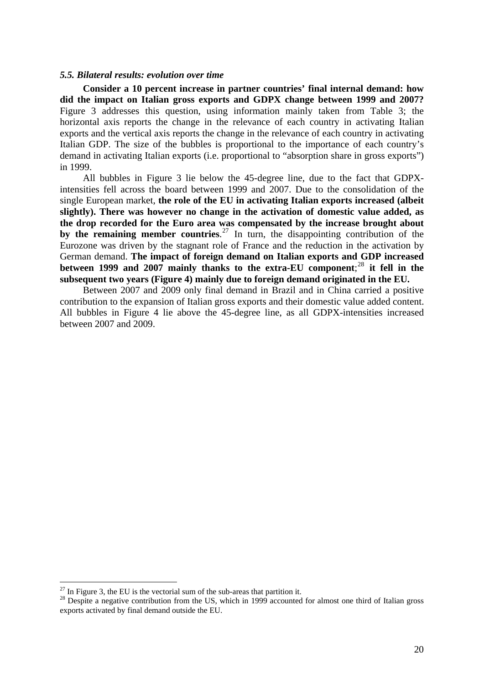#### <span id="page-19-0"></span>*5.5. Bilateral results: evolution over time*

**Consider a 10 percent increase in partner countries' final internal demand: how did the impact on Italian gross exports and GDPX change between 1999 and 2007?** Figure 3 addresses this question, using information mainly taken from Table 3; the horizontal axis reports the change in the relevance of each country in activating Italian exports and the vertical axis reports the change in the relevance of each country in activating Italian GDP. The size of the bubbles is proportional to the importance of each country's demand in activating Italian exports (i.e. proportional to "absorption share in gross exports") in 1999.

All bubbles in Figure 3 lie below the 45-degree line, due to the fact that GDPXintensities fell across the board between 1999 and 2007. Due to the consolidation of the single European market, **the role of the EU in activating Italian exports increased (albeit slightly). There was however no change in the activation of domestic value added, as the drop recorded for the Euro area was compensated by the increase brought about**  by the remaining member countries.<sup>[27](#page-19-1)</sup> In turn, the disappointing contribution of the Eurozone was driven by the stagnant role of France and the reduction in the activation by German demand. **The impact of foreign demand on Italian exports and GDP increased between 1999 and 2007 mainly thanks to the extra-EU component**; [28](#page-19-2) **it fell in the subsequent two years (Figure 4) mainly due to foreign demand originated in the EU.** 

Between 2007 and 2009 only final demand in Brazil and in China carried a positive contribution to the expansion of Italian gross exports and their domestic value added content. All bubbles in Figure 4 lie above the 45-degree line, as all GDPX-intensities increased between 2007 and 2009.

 $^{27}$  In Figure 3, the EU is the vectorial sum of the sub-areas that partition it.

<span id="page-19-2"></span><span id="page-19-1"></span><sup>&</sup>lt;sup>28</sup> Despite a negative contribution from the US, which in 1999 accounted for almost one third of Italian gross exports activated by final demand outside the EU.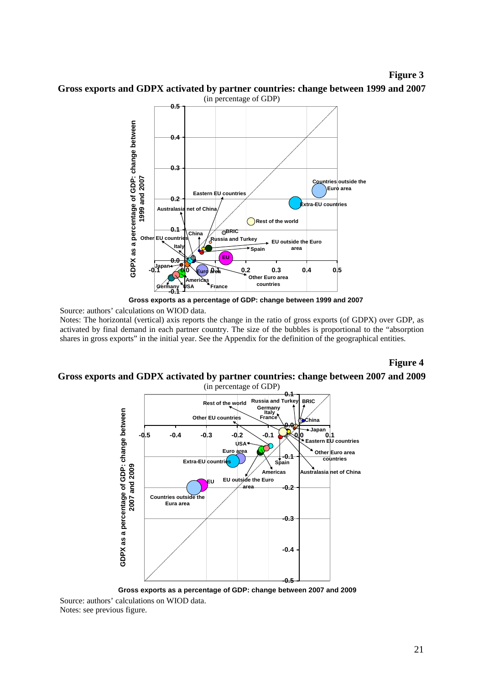**Figure 3** 



**Gross exports and GDPX activated by partner countries: change between 1999 and 2007**  (in percentage of GDP)

Source: authors' calculations on WIOD data.

Notes: The horizontal (vertical) axis reports the change in the ratio of gross exports (of GDPX) over GDP, as activated by final demand in each partner country. The size of the bubbles is proportional to the "absorption shares in gross exports" in the initial year. See the Appendix for the definition of the geographical entities.

**Figure 4** 

#### **Gross exports and GDPX activated by partner countries: change between 2007 and 2009**  (in percentage of GDP)



Source: authors' calculations on WIOD data. Notes: see previous figure.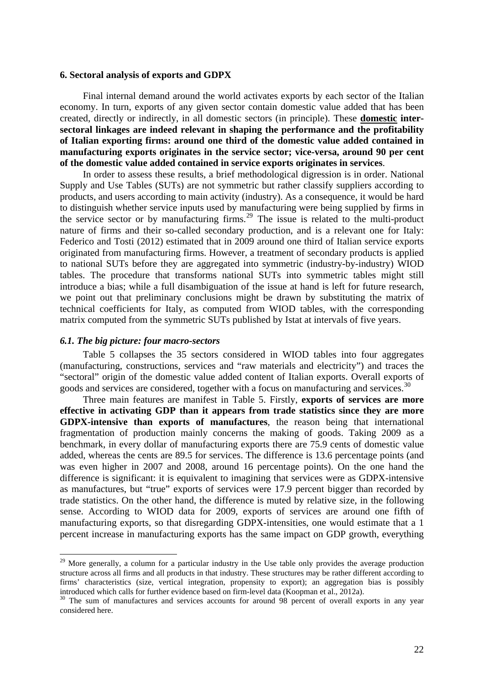#### <span id="page-21-0"></span>**6. Sectoral analysis of exports and GDPX**

Final internal demand around the world activates exports by each sector of the Italian economy. In turn, exports of any given sector contain domestic value added that has been created, directly or indirectly, in all domestic sectors (in principle). These **domestic intersectoral linkages are indeed relevant in shaping the performance and the profitability of Italian exporting firms: around one third of the domestic value added contained in manufacturing exports originates in the service sector; vice-versa, around 90 per cent of the domestic value added contained in service exports originates in services**.

In order to assess these results, a brief methodological digression is in order. National Supply and Use Tables (SUTs) are not symmetric but rather classify suppliers according to products, and users according to main activity (industry). As a consequence, it would be hard to distinguish whether service inputs used by manufacturing were being supplied by firms in the service sector or by manufacturing firms.<sup>[29](#page-21-2)</sup> The issue is related to the multi-product nature of firms and their so-called secondary production, and is a relevant one for Italy: Federico and Tosti (2012) estimated that in 2009 around one third of Italian service exports originated from manufacturing firms. However, a treatment of secondary products is applied to national SUTs before they are aggregated into symmetric (industry-by-industry) WIOD tables. The procedure that transforms national SUTs into symmetric tables might still introduce a bias; while a full disambiguation of the issue at hand is left for future research, we point out that preliminary conclusions might be drawn by substituting the matrix of technical coefficients for Italy, as computed from WIOD tables, with the corresponding matrix computed from the symmetric SUTs published by Istat at intervals of five years.

### <span id="page-21-1"></span>*6.1. The big picture: four macro-sectors*

 $\overline{a}$ 

Table 5 collapses the 35 sectors considered in WIOD tables into four aggregates (manufacturing, constructions, services and "raw materials and electricity") and traces the "sectoral" origin of the domestic value added content of Italian exports. Overall exports of goods and services are considered, together with a focus on manufacturing and services.<sup>[30](#page-21-3)</sup>

Three main features are manifest in Table 5. Firstly, **exports of services are more effective in activating GDP than it appears from trade statistics since they are more GDPX-intensive than exports of manufactures**, the reason being that international fragmentation of production mainly concerns the making of goods. Taking 2009 as a benchmark, in every dollar of manufacturing exports there are 75.9 cents of domestic value added, whereas the cents are 89.5 for services. The difference is 13.6 percentage points (and was even higher in 2007 and 2008, around 16 percentage points). On the one hand the difference is significant: it is equivalent to imagining that services were as GDPX-intensive as manufactures, but "true" exports of services were 17.9 percent bigger than recorded by trade statistics. On the other hand, the difference is muted by relative size, in the following sense. According to WIOD data for 2009, exports of services are around one fifth of manufacturing exports, so that disregarding GDPX-intensities, one would estimate that a 1 percent increase in manufacturing exports has the same impact on GDP growth, everything

<span id="page-21-2"></span><sup>&</sup>lt;sup>29</sup> More generally, a column for a particular industry in the Use table only provides the average production structure across all firms and all products in that industry. These structures may be rather different according to firms' characteristics (size, vertical integration, propensity to export); an aggregation bias is possibly introduced which calls for further evidence based on firm-level data (Koopman et al., 2012a).

<span id="page-21-3"></span><sup>&</sup>lt;sup>30</sup> The sum of manufactures and services accounts for around 98 percent of overall exports in any year considered here.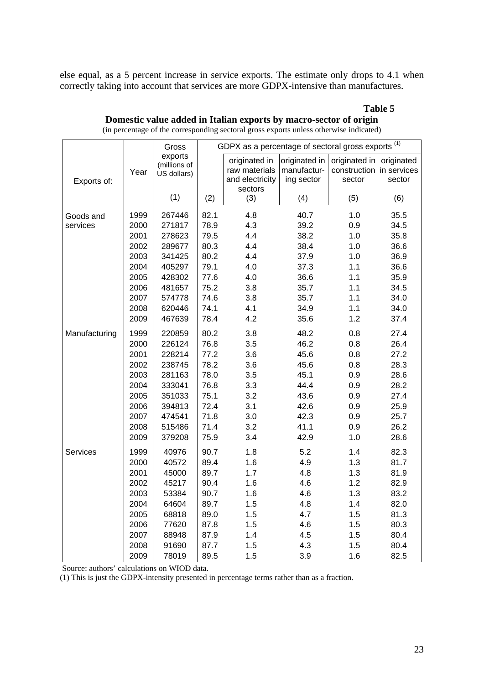else equal, as a 5 percent increase in service exports. The estimate only drops to 4.1 when correctly taking into account that services are more GDPX-intensive than manufactures.

### **Table 5**

|               |      | Gross                                  | GDPX as a percentage of sectoral gross exports <sup>(1)</sup> |                                |                              |                               |                           |  |  |  |  |  |
|---------------|------|----------------------------------------|---------------------------------------------------------------|--------------------------------|------------------------------|-------------------------------|---------------------------|--|--|--|--|--|
|               | Year | exports<br>(millions of<br>US dollars) |                                                               | originated in<br>raw materials | originated in<br>manufactur- | originated in<br>construction | originated<br>in services |  |  |  |  |  |
| Exports of:   |      |                                        |                                                               | and electricity<br>sectors     | ing sector                   | sector                        | sector                    |  |  |  |  |  |
|               |      | (1)                                    | (2)                                                           | (3)                            | (4)                          | (5)                           | (6)                       |  |  |  |  |  |
| Goods and     | 1999 | 267446                                 | 82.1                                                          | 4.8                            | 40.7                         | 1.0                           | 35.5                      |  |  |  |  |  |
| services      | 2000 | 271817                                 | 78.9                                                          | 4.3                            | 39.2                         | 0.9                           | 34.5                      |  |  |  |  |  |
|               | 2001 | 278623                                 | 79.5                                                          | 4.4                            | 38.2                         | 1.0                           | 35.8                      |  |  |  |  |  |
|               | 2002 | 289677                                 | 80.3                                                          | 4.4                            | 38.4                         | 1.0                           | 36.6                      |  |  |  |  |  |
|               | 2003 | 341425                                 | 80.2                                                          | 4.4                            | 37.9                         | 1.0                           | 36.9                      |  |  |  |  |  |
|               | 2004 | 405297                                 | 79.1                                                          | 4.0                            | 37.3                         | 1.1                           | 36.6                      |  |  |  |  |  |
|               | 2005 | 428302                                 | 77.6                                                          | 4.0                            | 36.6                         | 1.1                           | 35.9                      |  |  |  |  |  |
|               | 2006 | 481657                                 | 75.2                                                          | 3.8                            | 35.7                         | 1.1                           | 34.5                      |  |  |  |  |  |
|               | 2007 | 574778                                 | 74.6                                                          | 3.8                            | 35.7                         | 1.1                           | 34.0                      |  |  |  |  |  |
|               | 2008 | 620446                                 | 74.1                                                          | 4.1                            | 34.9                         | 1.1                           | 34.0                      |  |  |  |  |  |
|               | 2009 | 467639                                 | 78.4                                                          | 4.2                            | 35.6                         | 1.2                           | 37.4                      |  |  |  |  |  |
| Manufacturing | 1999 | 220859                                 | 80.2                                                          | 3.8                            | 48.2                         | 0.8                           | 27.4                      |  |  |  |  |  |
|               | 2000 | 226124                                 | 76.8                                                          | 3.5                            | 46.2                         | 0.8                           | 26.4                      |  |  |  |  |  |
|               | 2001 | 228214                                 | 77.2                                                          | 3.6                            | 45.6                         | 0.8                           | 27.2                      |  |  |  |  |  |
|               | 2002 | 238745                                 | 78.2                                                          | 3.6                            | 45.6                         | 0.8                           | 28.3                      |  |  |  |  |  |
|               | 2003 | 281163                                 | 78.0                                                          | 3.5                            | 45.1                         | 0.9                           | 28.6                      |  |  |  |  |  |
|               | 2004 | 333041                                 | 76.8                                                          | 3.3                            | 44.4                         | 0.9                           | 28.2                      |  |  |  |  |  |
|               | 2005 | 351033                                 | 75.1                                                          | 3.2                            | 43.6                         | 0.9                           | 27.4                      |  |  |  |  |  |
|               | 2006 | 394813                                 | 72.4                                                          | 3.1                            | 42.6                         | 0.9                           | 25.9                      |  |  |  |  |  |
|               | 2007 | 474541                                 | 71.8                                                          | 3.0                            | 42.3                         | 0.9                           | 25.7                      |  |  |  |  |  |
|               | 2008 | 515486                                 | 71.4                                                          | 3.2                            | 41.1                         | 0.9                           | 26.2                      |  |  |  |  |  |
|               | 2009 | 379208                                 | 75.9                                                          | 3.4                            | 42.9                         | 1.0                           | 28.6                      |  |  |  |  |  |
| Services      | 1999 | 40976                                  | 90.7                                                          | 1.8                            | 5.2                          | 1.4                           | 82.3                      |  |  |  |  |  |
|               | 2000 | 40572                                  | 89.4                                                          | 1.6                            | 4.9                          | 1.3                           | 81.7                      |  |  |  |  |  |
|               | 2001 | 45000                                  | 89.7                                                          | 1.7                            | 4.8                          | 1.3                           | 81.9                      |  |  |  |  |  |
|               | 2002 | 45217                                  | 90.4                                                          | 1.6                            | 4.6                          | 1.2                           | 82.9                      |  |  |  |  |  |
|               | 2003 | 53384                                  | 90.7                                                          | 1.6                            | 4.6                          | 1.3                           | 83.2                      |  |  |  |  |  |
|               | 2004 | 64604                                  | 89.7                                                          | 1.5                            | 4.8                          | 1.4                           | 82.0                      |  |  |  |  |  |
|               | 2005 | 68818                                  | 89.0                                                          | 1.5                            | 4.7                          | 1.5                           | 81.3                      |  |  |  |  |  |
|               | 2006 | 77620                                  | 87.8                                                          | 1.5                            | 4.6                          | 1.5                           | 80.3                      |  |  |  |  |  |
|               | 2007 | 88948                                  | 87.9                                                          | 1.4                            | 4.5                          | 1.5                           | 80.4                      |  |  |  |  |  |
|               | 2008 | 91690                                  | 87.7                                                          | 1.5                            | 4.3                          | 1.5                           | 80.4                      |  |  |  |  |  |
|               | 2009 | 78019                                  | 89.5                                                          | 1.5                            | 3.9                          | 1.6                           | 82.5                      |  |  |  |  |  |

**Domestic value added in Italian exports by macro-sector of origin**  (in percentage of the corresponding sectoral gross exports unless otherwise indicated)

Source: authors' calculations on WIOD data.

(1) This is just the GDPX-intensity presented in percentage terms rather than as a fraction.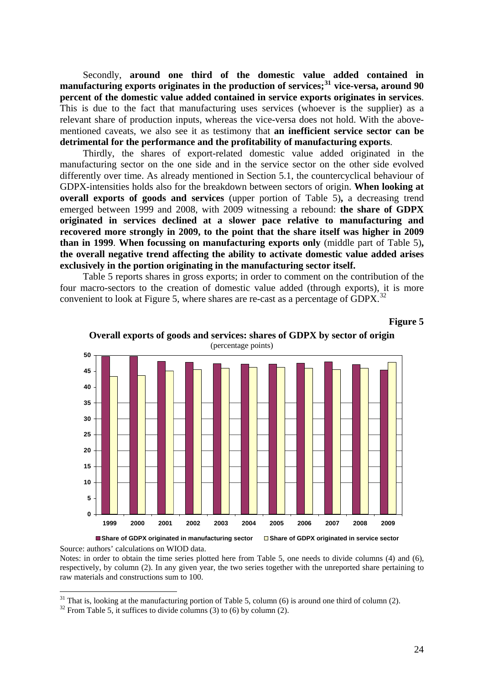Secondly, **around one third of the domestic value added contained in manufacturing exports originates in the production of services;[31](#page-23-0) vice-versa, around 90 percent of the domestic value added contained in service exports originates in services**. This is due to the fact that manufacturing uses services (whoever is the supplier) as a relevant share of production inputs, whereas the vice-versa does not hold. With the abovementioned caveats, we also see it as testimony that **an inefficient service sector can be detrimental for the performance and the profitability of manufacturing exports**.

Thirdly, the shares of export-related domestic value added originated in the manufacturing sector on the one side and in the service sector on the other side evolved differently over time. As already mentioned in Section 5.1, the countercyclical behaviour of GDPX-intensities holds also for the breakdown between sectors of origin. **When looking at overall exports of goods and services** (upper portion of Table 5)**,** a decreasing trend emerged between 1999 and 2008, with 2009 witnessing a rebound: **the share of GDPX originated in services declined at a slower pace relative to manufacturing and recovered more strongly in 2009, to the point that the share itself was higher in 2009 than in 1999**. **When focussing on manufacturing exports only** (middle part of Table 5)**, the overall negative trend affecting the ability to activate domestic value added arises exclusively in the portion originating in the manufacturing sector itself.** 

Table 5 reports shares in gross exports; in order to comment on the contribution of the four macro-sectors to the creation of domestic value added (through exports), it is more convenient to look at Figure 5, where shares are re-cast as a percentage of GDPX.<sup>[32](#page-23-1)</sup>

**Overall exports of goods and services: shares of GDPX by sector of origin** 



**Figure 5** 



Source: authors' calculations on WIOD data.

 $\overline{a}$ 

Notes: in order to obtain the time series plotted here from Table 5, one needs to divide columns (4) and (6), respectively, by column (2). In any given year, the two series together with the unreported share pertaining to raw materials and constructions sum to 100.

<span id="page-23-0"></span> $31$  That is, looking at the manufacturing portion of Table 5, column (6) is around one third of column (2).

<span id="page-23-1"></span> $32$  From Table 5, it suffices to divide columns (3) to (6) by column (2).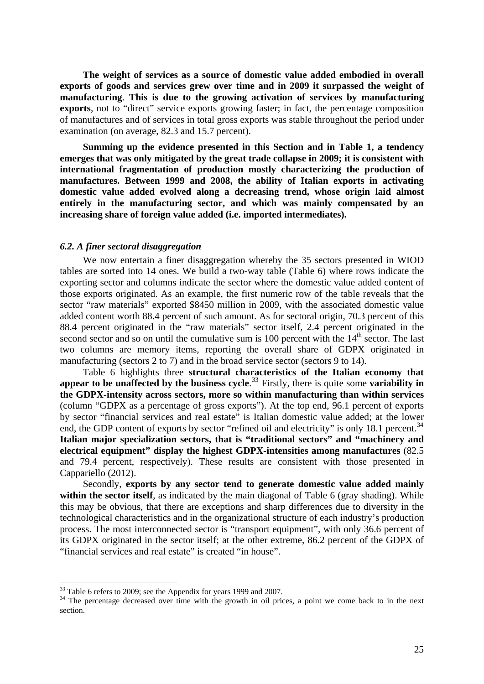**The weight of services as a source of domestic value added embodied in overall exports of goods and services grew over time and in 2009 it surpassed the weight of manufacturing**. **This is due to the growing activation of services by manufacturing exports**, not to "direct" service exports growing faster; in fact, the percentage composition of manufactures and of services in total gross exports was stable throughout the period under examination (on average, 82.3 and 15.7 percent).

**Summing up the evidence presented in this Section and in Table 1, a tendency emerges that was only mitigated by the great trade collapse in 2009; it is consistent with international fragmentation of production mostly characterizing the production of manufactures. Between 1999 and 2008, the ability of Italian exports in activating domestic value added evolved along a decreasing trend, whose origin laid almost entirely in the manufacturing sector, and which was mainly compensated by an increasing share of foreign value added (i.e. imported intermediates).**

### <span id="page-24-0"></span>*6.2. A finer sectoral disaggregation*

We now entertain a finer disaggregation whereby the 35 sectors presented in WIOD tables are sorted into 14 ones. We build a two-way table (Table 6) where rows indicate the exporting sector and columns indicate the sector where the domestic value added content of those exports originated. As an example, the first numeric row of the table reveals that the sector "raw materials" exported \$8450 million in 2009, with the associated domestic value added content worth 88.4 percent of such amount. As for sectoral origin, 70.3 percent of this 88.4 percent originated in the "raw materials" sector itself, 2.4 percent originated in the second sector and so on until the cumulative sum is 100 percent with the  $14<sup>th</sup>$  sector. The last two columns are memory items, reporting the overall share of GDPX originated in manufacturing (sectors 2 to 7) and in the broad service sector (sectors 9 to 14).

Table 6 highlights three **structural characteristics of the Italian economy that appear to be unaffected by the business cycle**. [33](#page-24-1) Firstly, there is quite some **variability in the GDPX-intensity across sectors, more so within manufacturing than within services** (column "GDPX as a percentage of gross exports"). At the top end, 96.1 percent of exports by sector "financial services and real estate" is Italian domestic value added; at the lower end, the GDP content of exports by sector "refined oil and electricity" is only 18.1 percent.<sup>[34](#page-24-2)</sup> **Italian major specialization sectors, that is "traditional sectors" and "machinery and electrical equipment" display the highest GDPX-intensities among manufactures** (82.5 and 79.4 percent, respectively). These results are consistent with those presented in Cappariello (2012).

Secondly, **exports by any sector tend to generate domestic value added mainly within the sector itself**, as indicated by the main diagonal of Table 6 (gray shading). While this may be obvious, that there are exceptions and sharp differences due to diversity in the technological characteristics and in the organizational structure of each industry's production process. The most interconnected sector is "transport equipment", with only 36.6 percent of its GDPX originated in the sector itself; at the other extreme, 86.2 percent of the GDPX of "financial services and real estate" is created "in house".

<span id="page-24-1"></span><sup>&</sup>lt;sup>33</sup> Table 6 refers to 2009; see the Appendix for years 1999 and 2007.

<span id="page-24-2"></span><sup>&</sup>lt;sup>34</sup> The percentage decreased over time with the growth in oil prices, a point we come back to in the next section.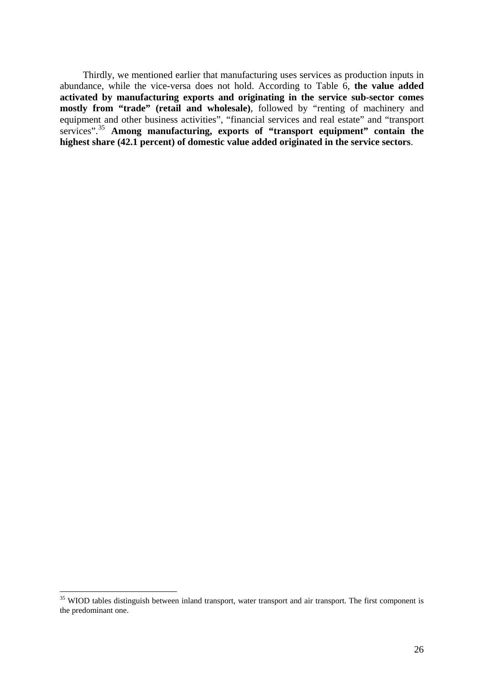Thirdly, we mentioned earlier that manufacturing uses services as production inputs in abundance, while the vice-versa does not hold. According to Table 6, **the value added activated by manufacturing exports and originating in the service sub-sector comes mostly from "trade" (retail and wholesale)**, followed by "renting of machinery and equipment and other business activities", "financial services and real estate" and "transport services".[35](#page-25-0) **Among manufacturing, exports of "transport equipment" contain the highest share (42.1 percent) of domestic value added originated in the service sectors**.

<span id="page-25-0"></span><sup>&</sup>lt;sup>35</sup> WIOD tables distinguish between inland transport, water transport and air transport. The first component is the predominant one.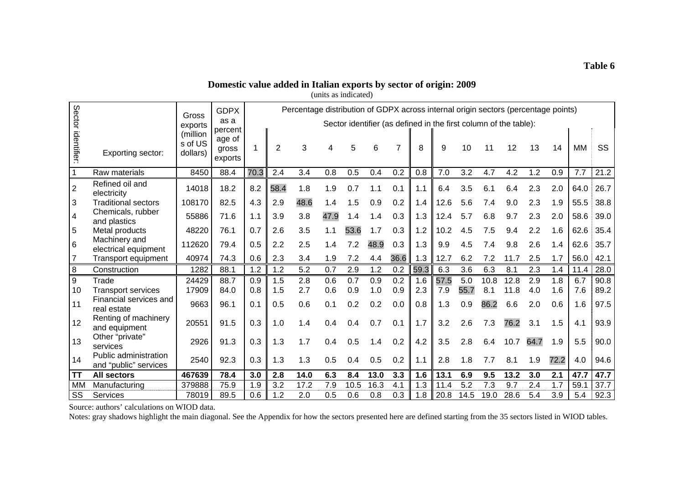# **Domestic value added in Italian exports by sector of origin: 2009**

| (units as indicated) |
|----------------------|
|----------------------|

|                    |                                                | Gross                           | <b>GDPX</b>                           |      |                | Percentage distribution of GDPX across internal origin sectors (percentage points) |      |      |      |      |      |      |      |      |                                                                  |      |      |           |      |
|--------------------|------------------------------------------------|---------------------------------|---------------------------------------|------|----------------|------------------------------------------------------------------------------------|------|------|------|------|------|------|------|------|------------------------------------------------------------------|------|------|-----------|------|
|                    |                                                | exports                         | as a                                  |      |                |                                                                                    |      |      |      |      |      |      |      |      | Sector identifier (as defined in the first column of the table): |      |      |           |      |
| Sector identifier: | Exporting sector:                              | (million<br>s of US<br>dollars) | percent<br>age of<br>gross<br>exports |      | $\mathfrak{p}$ | 3                                                                                  |      | 5    | 6    | 7    | 8    | 9    | 10   | 11   | 12                                                               | 13   | 14   | <b>MM</b> | SS   |
|                    | Raw materials                                  | 8450                            | 88.4                                  | 70.3 | 2.4            | 3.4                                                                                | 0.8  | 0.5  | 0.4  | 0.2  | 0.8  | 7.0  | 3.2  | 4.7  | 4.2                                                              | 1.2  | 0.9  | 7.7       | 21.2 |
| $\overline{2}$     | Refined oil and<br>electricity                 | 14018                           | 18.2                                  | 8.2  | 58.4           | 1.8                                                                                | 1.9  | 0.7  | 1.1  | 0.1  | 1.1  | 6.4  | 3.5  | 6.1  | 6.4                                                              | 2.3  | 2.0  | 64.0      | 26.7 |
| 3                  | <b>Traditional sectors</b>                     | 108170                          | 82.5                                  | 4.3  | 2.9            | 48.6                                                                               | 1.4  | 1.5  | 0.9  | 0.2  | 1.4  | 12.6 | 5.6  | 7.4  | 9.0                                                              | 2.3  | 1.9  | 55.5      | 38.8 |
| 4                  | Chemicals, rubber<br>and plastics              | 55886                           | 71.6                                  | 1.1  | 3.9            | 3.8                                                                                | 47.9 | 1.4  | 1.4  | 0.3  | 1.3  | 12.4 | 5.7  | 6.8  | 9.7                                                              | 2.3  | 2.0  | 58.6      | 39.0 |
| 5                  | Metal products                                 | 48220                           | 76.1                                  | 0.7  | 2.6            | 3.5                                                                                | 1.1  | 53.6 | 1.7  | 0.3  | 1.2  | 10.2 | 4.5  | 7.5  | 9.4                                                              | 2.2  | 1.6  | 62.6      | 35.4 |
| $6\phantom{1}$     | Machinery and<br>electrical equipment          | 112620                          | 79.4                                  | 0.5  | 2.2            | 2.5                                                                                | 1.4  | 7.2  | 48.9 | 0.3  | 1.3  | 9.9  | 4.5  | 7.4  | 9.8                                                              | 2.6  | 1.4  | 62.6      | 35.7 |
| $\overline{7}$     | <b>Transport equipment</b>                     | 40974                           | 74.3                                  | 0.6  | 2.3            | 3.4                                                                                | 1.9  | 7.2  | 4.4  | 36.6 | 1.3  | 12.7 | 6.2  | 7.2  | 11.7                                                             | 2.5  | 1.7  | 56.0      | 42.1 |
| 8                  | Construction                                   | 1282                            | 88.1                                  | 1.2  | 1.2            | 5.2                                                                                | 0.7  | 2.9  | 1.2  | 0.2  | 59.3 | 6.3  | 3.6  | 6.3  | 8.1                                                              | 2.3  | 1.4  | 11.4      | 28.0 |
| 9                  | Trade                                          | 24429                           | 88.7                                  | 0.9  | 1.5            | 2.8                                                                                | 0.6  | 0.7  | 0.9  | 0.2  | 1.6  | 57.5 | 5.0  | 10.8 | 12.8                                                             | 2.9  | 1.8  | 6.7       | 90.8 |
| 10                 | <b>Transport services</b>                      | 17909                           | 84.0                                  | 0.8  | 1.5            | 2.7                                                                                | 0.6  | 0.9  | 1.0  | 0.9  | 2.3  | 7.9  | 55.7 | 8.1  | 11.8                                                             | 4.0  | 1.6  | 7.6       | 89.2 |
| 11                 | Financial services and<br>real estate          | 9663                            | 96.1                                  | 0.1  | 0.5            | 0.6                                                                                | 0.1  | 0.2  | 0.2  | 0.0  | 0.8  | 1.3  | 0.9  | 86.2 | 6.6                                                              | 2.0  | 0.6  | 1.6       | 97.5 |
| 12                 | Renting of machinery<br>and equipment          | 20551                           | 91.5                                  | 0.3  | 1.0            | 1.4                                                                                | 0.4  | 0.4  | 0.7  | 0.1  | 1.7  | 3.2  | 2.6  | 7.3  | 76.2                                                             | 3.1  | 1.5  | 4.1       | 93.9 |
| 13                 | Other "private"<br>services                    | 2926                            | 91.3                                  | 0.3  | 1.3            | 1.7                                                                                | 0.4  | 0.5  | 1.4  | 0.2  | 4.2  | 3.5  | 2.8  | 6.4  | 10.7                                                             | 64.7 | 1.9  | 5.5       | 90.0 |
| 14                 | Public administration<br>and "public" services | 2540                            | 92.3                                  | 0.3  | 1.3            | 1.3                                                                                | 0.5  | 0.4  | 0.5  | 0.2  | 1.1  | 2.8  | 1.8  | 7.7  | 8.1                                                              | 1.9  | 72.2 | 4.0       | 94.6 |
| <b>TT</b>          | <b>All sectors</b>                             | 467639                          | 78.4                                  | 3.0  | 2.8            | 14.0                                                                               | 6.3  | 8.4  | 13.0 | 3.3  | 1.6  | 13.1 | 6.9  | 9.5  | 13.2                                                             | 3.0  | 2.1  | 47.7      | 47.7 |
| <b>MM</b>          | Manufacturing                                  | 379888                          | 75.9                                  | 1.9  | 3.2            | 17.2                                                                               | 7.9  | 10.5 | 16.3 | 4.1  | 1.3  | 11.4 | 5.2  | 7.3  | 9.7                                                              | 2.4  | 1.7  | 59.1      | 37.7 |
| SS                 | Services                                       | 78019                           | 89.5                                  | 0.6  | 1.2            | 2.0                                                                                | 0.5  | 0.6  | 0.8  | 0.3  | 1.8  | 20.8 | 14.5 | 19.0 | 28.6                                                             | 5.4  | 3.9  | 5.4       | 92.3 |

Source: authors' calculations on WIOD data.

Notes: gray shadows highlight the main diagonal. See the Appendix for how the sectors presented here are defined starting from the 35 sectors listed in WIOD tables.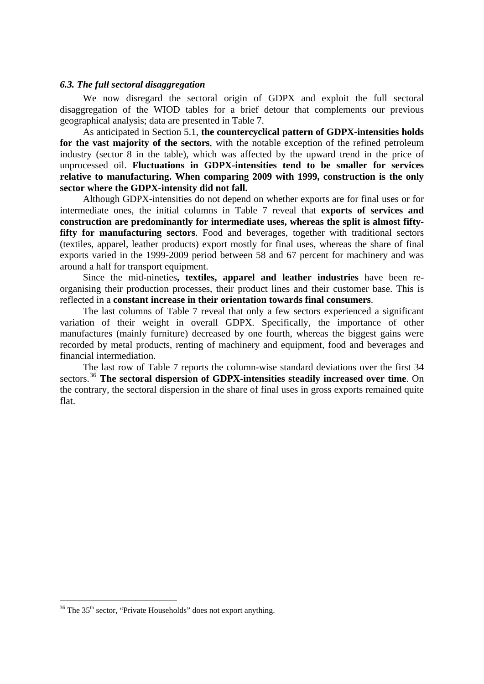### <span id="page-27-0"></span>*6.3. The full sectoral disaggregation*

We now disregard the sectoral origin of GDPX and exploit the full sectoral disaggregation of the WIOD tables for a brief detour that complements our previous geographical analysis; data are presented in Table 7.

As anticipated in Section 5.1, **the countercyclical pattern of GDPX-intensities holds for the vast majority of the sectors**, with the notable exception of the refined petroleum industry (sector 8 in the table), which was affected by the upward trend in the price of unprocessed oil. **Fluctuations in GDPX-intensities tend to be smaller for services relative to manufacturing. When comparing 2009 with 1999, construction is the only sector where the GDPX-intensity did not fall.** 

Although GDPX-intensities do not depend on whether exports are for final uses or for intermediate ones, the initial columns in Table 7 reveal that **exports of services and construction are predominantly for intermediate uses, whereas the split is almost fifty**fifty for manufacturing sectors. Food and beverages, together with traditional sectors (textiles, apparel, leather products) export mostly for final uses, whereas the share of final exports varied in the 1999-2009 period between 58 and 67 percent for machinery and was around a half for transport equipment.

Since the mid-nineties**, textiles, apparel and leather industries** have been reorganising their production processes, their product lines and their customer base. This is reflected in a **constant increase in their orientation towards final consumers**.

The last columns of Table 7 reveal that only a few sectors experienced a significant variation of their weight in overall GDPX. Specifically, the importance of other manufactures (mainly furniture) decreased by one fourth, whereas the biggest gains were recorded by metal products, renting of machinery and equipment, food and beverages and financial intermediation.

The last row of Table 7 reports the column-wise standard deviations over the first 34 sectors.[36](#page-27-1) **The sectoral dispersion of GDPX-intensities steadily increased over time**. On the contrary, the sectoral dispersion in the share of final uses in gross exports remained quite flat.

<span id="page-27-1"></span> $36$  The  $35<sup>th</sup>$  sector, "Private Households" does not export anything.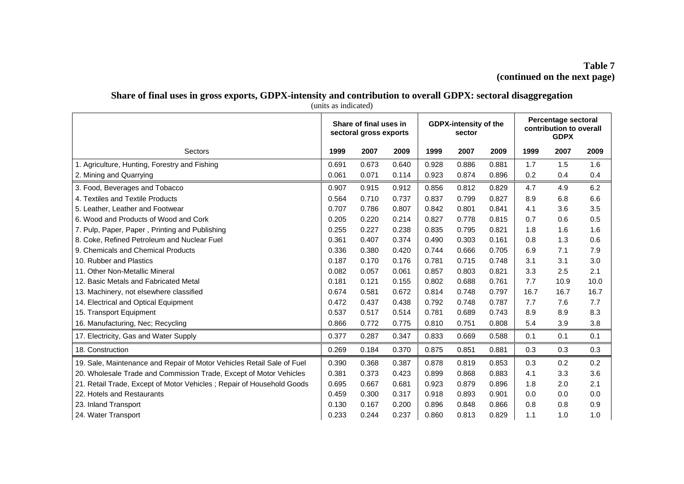# **Table 7 (continued on the next page)**

# **Share of final uses in gross exports, GDPX-intensity and contribution to overall GDPX: sectoral disaggregation**

|                                                                        |       | Share of final uses in<br>sectoral gross exports |       |       | <b>GDPX-intensity of the</b><br>sector |       |      | Percentage sectoral<br>contribution to overall |      |
|------------------------------------------------------------------------|-------|--------------------------------------------------|-------|-------|----------------------------------------|-------|------|------------------------------------------------|------|
| Sectors                                                                | 1999  | 2007                                             | 2009  | 1999  | 2007                                   | 2009  | 1999 | 2007                                           | 2009 |
| 1. Agriculture, Hunting, Forestry and Fishing                          | 0.691 | 0.673                                            | 0.640 | 0.928 | 0.886                                  | 0.881 | 1.7  | 1.5                                            | 1.6  |
| 2. Mining and Quarrying                                                | 0.061 | 0.071                                            | 0.114 | 0.923 | 0.874                                  | 0.896 | 0.2  | 0.4                                            | 0.4  |
| 3. Food, Beverages and Tobacco                                         | 0.907 | 0.915                                            | 0.912 | 0.856 | 0.812                                  | 0.829 | 4.7  | 4.9                                            | 6.2  |
| 4. Textiles and Textile Products                                       | 0.564 | 0.710                                            | 0.737 | 0.837 | 0.799                                  | 0.827 | 8.9  | 6.8                                            | 6.6  |
| 5. Leather, Leather and Footwear                                       | 0.707 | 0.786                                            | 0.807 | 0.842 | 0.801                                  | 0.841 | 4.1  | 3.6                                            | 3.5  |
| 6. Wood and Products of Wood and Cork                                  | 0.205 | 0.220                                            | 0.214 | 0.827 | 0.778                                  | 0.815 | 0.7  | 0.6                                            | 0.5  |
| 7. Pulp, Paper, Paper, Printing and Publishing                         | 0.255 | 0.227                                            | 0.238 | 0.835 | 0.795                                  | 0.821 | 1.8  | 1.6                                            | 1.6  |
| 8. Coke, Refined Petroleum and Nuclear Fuel                            | 0.361 | 0.407                                            | 0.374 | 0.490 | 0.303                                  | 0.161 | 0.8  | 1.3                                            | 0.6  |
| 9. Chemicals and Chemical Products                                     | 0.336 | 0.380                                            | 0.420 | 0.744 | 0.666                                  | 0.705 | 6.9  | 7.1                                            | 7.9  |
| 10. Rubber and Plastics                                                | 0.187 | 0.170                                            | 0.176 | 0.781 | 0.715                                  | 0.748 | 3.1  | 3.1                                            | 3.0  |
| 11. Other Non-Metallic Mineral                                         | 0.082 | 0.057                                            | 0.061 | 0.857 | 0.803                                  | 0.821 | 3.3  | 2.5                                            | 2.1  |
| 12. Basic Metals and Fabricated Metal                                  | 0.181 | 0.121                                            | 0.155 | 0.802 | 0.688                                  | 0.761 | 7.7  | 10.9                                           | 10.0 |
| 13. Machinery, not elsewhere classified                                | 0.674 | 0.581                                            | 0.672 | 0.814 | 0.748                                  | 0.797 | 16.7 | 16.7                                           | 16.7 |
| 14. Electrical and Optical Equipment                                   | 0.472 | 0.437                                            | 0.438 | 0.792 | 0.748                                  | 0.787 | 7.7  | 7.6                                            | 7.7  |
| 15. Transport Equipment                                                | 0.537 | 0.517                                            | 0.514 | 0.781 | 0.689                                  | 0.743 | 8.9  | 8.9                                            | 8.3  |
| 16. Manufacturing, Nec; Recycling                                      | 0.866 | 0.772                                            | 0.775 | 0.810 | 0.751                                  | 0.808 | 5.4  | 3.9                                            | 3.8  |
| 17. Electricity, Gas and Water Supply                                  | 0.377 | 0.287                                            | 0.347 | 0.833 | 0.669                                  | 0.588 | 0.1  | 0.1                                            | 0.1  |
| 18. Construction                                                       | 0.269 | 0.184                                            | 0.370 | 0.875 | 0.851                                  | 0.881 | 0.3  | 0.3                                            | 0.3  |
| 19. Sale, Maintenance and Repair of Motor Vehicles Retail Sale of Fuel | 0.390 | 0.368                                            | 0.387 | 0.878 | 0.819                                  | 0.853 | 0.3  | 0.2                                            | 0.2  |
| 20. Wholesale Trade and Commission Trade, Except of Motor Vehicles     | 0.381 | 0.373                                            | 0.423 | 0.899 | 0.868                                  | 0.883 | 4.1  | 3.3                                            | 3.6  |
| 21. Retail Trade, Except of Motor Vehicles; Repair of Household Goods  |       | 0.667                                            | 0.681 | 0.923 | 0.879                                  | 0.896 | 1.8  | 2.0                                            | 2.1  |
| 22. Hotels and Restaurants                                             |       | 0.300                                            | 0.317 | 0.918 | 0.893                                  | 0.901 | 0.0  | 0.0                                            | 0.0  |
| 23. Inland Transport                                                   | 0.130 | 0.167                                            | 0.200 | 0.896 | 0.848                                  | 0.866 | 0.8  | 0.8                                            | 0.9  |
| 24. Water Transport                                                    | 0.233 | 0.244                                            | 0.237 | 0.860 | 0.813                                  | 0.829 | 1.1  | 1.0                                            | 1.0  |

(units as indicated)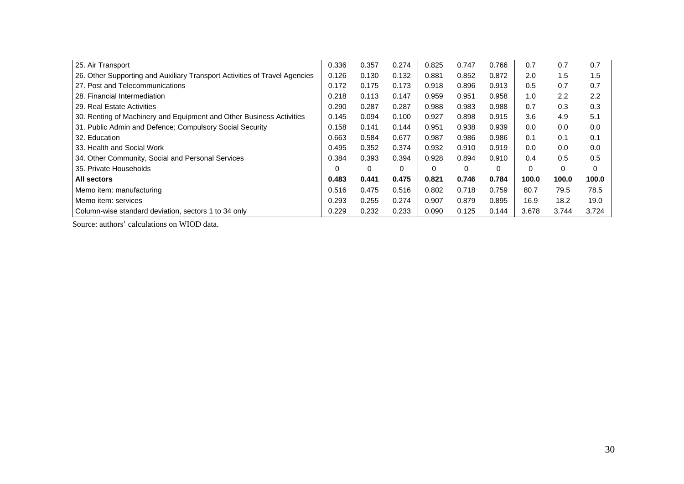| 25. Air Transport                                                          | 0.336 | 0.357 | 0.274 | 0.825 | 0.747 | 0.766    | 0.7   | 0.7   | 0.7   |
|----------------------------------------------------------------------------|-------|-------|-------|-------|-------|----------|-------|-------|-------|
| 26. Other Supporting and Auxiliary Transport Activities of Travel Agencies | 0.126 | 0.130 | 0.132 | 0.881 | 0.852 | 0.872    | 2.0   | 1.5   | 1.5   |
| 27. Post and Telecommunications                                            | 0.172 | 0.175 | 0.173 | 0.918 | 0.896 | 0.913    | 0.5   | 0.7   | 0.7   |
| 28. Financial Intermediation                                               | 0.218 | 0.113 | 0.147 | 0.959 | 0.951 | 0.958    | 1.0   | 2.2   | 2.2   |
| 29. Real Estate Activities                                                 | 0.290 | 0.287 | 0.287 | 0.988 | 0.983 | 0.988    | 0.7   | 0.3   | 0.3   |
| 30. Renting of Machinery and Equipment and Other Business Activities       | 0.145 | 0.094 | 0.100 | 0.927 | 0.898 | 0.915    | 3.6   | 4.9   | 5.1   |
| 31. Public Admin and Defence; Compulsory Social Security                   | 0.158 | 0.141 | 0.144 | 0.951 | 0.938 | 0.939    | 0.0   | 0.0   | 0.0   |
| 32. Education                                                              | 0.663 | 0.584 | 0.677 | 0.987 | 0.986 | 0.986    | 0.1   | 0.1   | 0.1   |
| 33. Health and Social Work                                                 | 0.495 | 0.352 | 0.374 | 0.932 | 0.910 | 0.919    | 0.0   | 0.0   | 0.0   |
| 34. Other Community, Social and Personal Services                          | 0.384 | 0.393 | 0.394 | 0.928 | 0.894 | 0.910    | 0.4   | 0.5   | 0.5   |
| 35. Private Households                                                     | 0     | 0     | 0     | 0     | 0     | $\Omega$ | 0     | 0     | 0     |
| All sectors                                                                | 0.483 | 0.441 | 0.475 | 0.821 | 0.746 | 0.784    | 100.0 | 100.0 | 100.0 |
| Memo item: manufacturing                                                   | 0.516 | 0.475 | 0.516 | 0.802 | 0.718 | 0.759    | 80.7  | 79.5  | 78.5  |
| Memo item: services                                                        | 0.293 | 0.255 | 0.274 | 0.907 | 0.879 | 0.895    | 16.9  | 18.2  | 19.0  |
| Column-wise standard deviation, sectors 1 to 34 only                       | 0.229 | 0.232 | 0.233 | 0.090 | 0.125 | 0.144    | 3.678 | 3.744 | 3.724 |

Source: authors' calculations on WIOD data.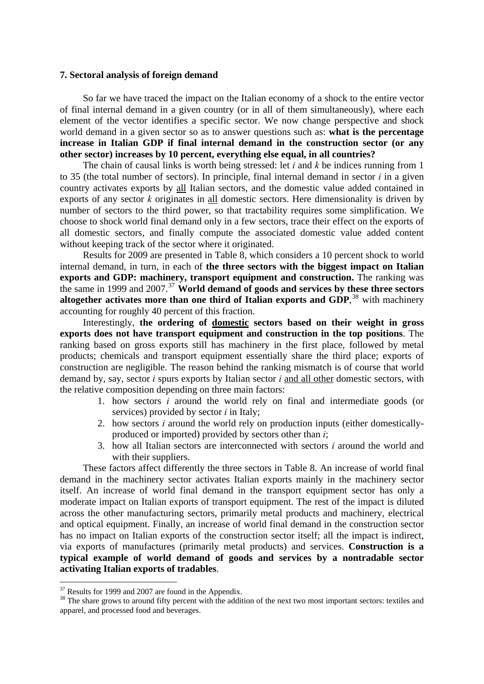### <span id="page-30-0"></span>**7. Sectoral analysis of foreign demand**

So far we have traced the impact on the Italian economy of a shock to the entire vector of final internal demand in a given country (or in all of them simultaneously), where each element of the vector identifies a specific sector. We now change perspective and shock world demand in a given sector so as to answer questions such as: **what is the percentage increase in Italian GDP if final internal demand in the construction sector (or any other sector) increases by 10 percent, everything else equal, in all countries?** 

The chain of causal links is worth being stressed: let *i* and *k* be indices running from 1 to 35 (the total number of sectors). In principle, final internal demand in sector  $i$  in a given country activates exports by all Italian sectors, and the domestic value added contained in exports of any sector *k* originates in all domestic sectors. Here dimensionality is driven by number of sectors to the third power, so that tractability requires some simplification. We choose to shock world final demand only in a few sectors, trace their effect on the exports of all domestic sectors, and finally compute the associated domestic value added content without keeping track of the sector where it originated.

Results for 2009 are presented in Table 8, which considers a 10 percent shock to world internal demand, in turn, in each of **the three sectors with the biggest impact on Italian exports and GDP: machinery, transport equipment and construction.** The ranking was the same in 1999 and 2007.<sup>[37](#page-30-1)</sup> **World demand of goods and services by these three sectors** altogether activates more than one third of Italian exports and GDP,<sup>[38](#page-30-2)</sup> with machinery accounting for roughly 40 percent of this fraction.

Interestingly, **the ordering of domestic sectors based on their weight in gross exports does not have transport equipment and construction in the top positions**. The ranking based on gross exports still has machinery in the first place, followed by metal products; chemicals and transport equipment essentially share the third place; exports of construction are negligible. The reason behind the ranking mismatch is of course that world demand by, say, sector *i* spurs exports by Italian sector *i* and all other domestic sectors, with the relative composition depending on three main factors:

- 1. how sectors *i* around the world rely on final and intermediate goods (or services) provided by sector *i* in Italy;
- 2. how sectors *i* around the world rely on production inputs (either domesticallyproduced or imported) provided by sectors other than *i*;
- 3. how all Italian sectors are interconnected with sectors *i* around the world and with their suppliers.

These factors affect differently the three sectors in Table 8. An increase of world final demand in the machinery sector activates Italian exports mainly in the machinery sector itself. An increase of world final demand in the transport equipment sector has only a moderate impact on Italian exports of transport equipment. The rest of the impact is diluted across the other manufacturing sectors, primarily metal products and machinery, electrical and optical equipment. Finally, an increase of world final demand in the construction sector has no impact on Italian exports of the construction sector itself; all the impact is indirect, via exports of manufactures (primarily metal products) and services. **Construction is a typical example of world demand of goods and services by a nontradable sector activating Italian exports of tradables**.

<span id="page-30-1"></span><sup>&</sup>lt;sup>37</sup> Results for 1999 and 2007 are found in the Appendix.

<span id="page-30-2"></span><sup>&</sup>lt;sup>38</sup> The share grows to around fifty percent with the addition of the next two most important sectors: textiles and apparel, and processed food and beverages.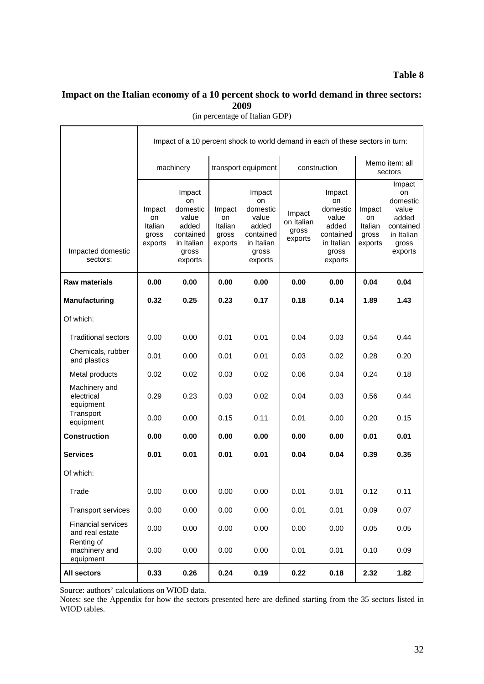# **Table 8**

# **Impact on the Italian economy of a 10 percent shock to world demand in three sectors: 2009**

|  | (in percentage of Italian GDP) |
|--|--------------------------------|
|--|--------------------------------|

| Memo item: all<br>machinery<br>transport equipment<br>construction<br>sectors<br>Impact<br>Impact<br>Impact<br>Impact<br>on<br>domestic<br>on<br>on<br>on<br>domestic<br>domestic<br>domestic<br>Impact<br>Impact<br>Impact<br>value<br>Impact<br>value<br>value<br>value<br>added<br>on<br>on<br>on<br>on Italian<br>added<br>Italian<br>Italian<br>added<br>added<br>Italian<br>gross<br>contained<br>contained<br>contained<br>gross<br>gross<br>in Italian<br>gross<br>exports<br>in Italian<br>exports<br>in Italian<br>in Italian<br>exports<br>exports<br>gross<br>Impacted domestic<br>gross<br>gross<br>gross<br>exports<br>sectors:<br>exports<br>exports<br>exports<br><b>Raw materials</b><br>0.00<br>0.00<br>0.00<br>0.00<br>0.00<br>0.00<br>0.04<br>0.04<br><b>Manufacturing</b><br>0.32<br>0.25<br>0.17<br>0.18<br>0.14<br>0.23<br>1.89<br>1.43<br>Of which:<br>0.01<br><b>Traditional sectors</b><br>0.00<br>0.00<br>0.01<br>0.04<br>0.03<br>0.54<br>0.44<br>Chemicals, rubber<br>0.01<br>0.00<br>0.01<br>0.01<br>0.03<br>0.02<br>0.28<br>0.20<br>and plastics<br>0.02<br>0.03<br>0.02<br>Metal products<br>0.02<br>0.06<br>0.04<br>0.24<br>0.18<br>Machinery and<br>electrical<br>0.23<br>0.03<br>0.02<br>0.56<br>0.29<br>0.04<br>0.03<br>0.44<br>equipment<br>Transport<br>0.15<br>0.11<br>0.00<br>0.00<br>0.01<br>0.00<br>0.20<br>0.15<br>equipment<br><b>Construction</b><br>0.00<br>0.00<br>0.00<br>0.00<br>0.00<br>0.00<br>0.01<br>0.01<br><b>Services</b><br>0.01<br>0.01<br>0.01<br>0.04<br>0.04<br>0.35<br>0.01<br>0.39<br>Of which:<br>0.00<br>0.00<br>0.00<br>0.00<br>0.01<br>0.01<br>0.12<br>0.11<br>Trade<br>0.00<br>0.00<br>0.00<br>0.00<br>0.01<br>0.01<br>0.09<br>0.07<br><b>Transport services</b><br><b>Financial services</b><br>0.00<br>0.00<br>0.00<br>0.00<br>0.00<br>0.00<br>0.05<br>0.05<br>and real estate<br>Renting of<br>machinery and<br>0.00<br>0.00<br>0.00<br>0.01<br>0.00<br>0.01<br>0.10<br>0.09<br>equipment |             | Impact of a 10 percent shock to world demand in each of these sectors in turn: |      |      |      |      |      |           |      |  |  |  |  |
|-----------------------------------------------------------------------------------------------------------------------------------------------------------------------------------------------------------------------------------------------------------------------------------------------------------------------------------------------------------------------------------------------------------------------------------------------------------------------------------------------------------------------------------------------------------------------------------------------------------------------------------------------------------------------------------------------------------------------------------------------------------------------------------------------------------------------------------------------------------------------------------------------------------------------------------------------------------------------------------------------------------------------------------------------------------------------------------------------------------------------------------------------------------------------------------------------------------------------------------------------------------------------------------------------------------------------------------------------------------------------------------------------------------------------------------------------------------------------------------------------------------------------------------------------------------------------------------------------------------------------------------------------------------------------------------------------------------------------------------------------------------------------------------------------------------------------------------------------------------------------------------------------------------------------------------------------------------------|-------------|--------------------------------------------------------------------------------|------|------|------|------|------|-----------|------|--|--|--|--|
|                                                                                                                                                                                                                                                                                                                                                                                                                                                                                                                                                                                                                                                                                                                                                                                                                                                                                                                                                                                                                                                                                                                                                                                                                                                                                                                                                                                                                                                                                                                                                                                                                                                                                                                                                                                                                                                                                                                                                                 |             |                                                                                |      |      |      |      |      |           |      |  |  |  |  |
|                                                                                                                                                                                                                                                                                                                                                                                                                                                                                                                                                                                                                                                                                                                                                                                                                                                                                                                                                                                                                                                                                                                                                                                                                                                                                                                                                                                                                                                                                                                                                                                                                                                                                                                                                                                                                                                                                                                                                                 |             |                                                                                |      |      |      |      |      | contained |      |  |  |  |  |
|                                                                                                                                                                                                                                                                                                                                                                                                                                                                                                                                                                                                                                                                                                                                                                                                                                                                                                                                                                                                                                                                                                                                                                                                                                                                                                                                                                                                                                                                                                                                                                                                                                                                                                                                                                                                                                                                                                                                                                 |             |                                                                                |      |      |      |      |      |           |      |  |  |  |  |
|                                                                                                                                                                                                                                                                                                                                                                                                                                                                                                                                                                                                                                                                                                                                                                                                                                                                                                                                                                                                                                                                                                                                                                                                                                                                                                                                                                                                                                                                                                                                                                                                                                                                                                                                                                                                                                                                                                                                                                 |             |                                                                                |      |      |      |      |      |           |      |  |  |  |  |
|                                                                                                                                                                                                                                                                                                                                                                                                                                                                                                                                                                                                                                                                                                                                                                                                                                                                                                                                                                                                                                                                                                                                                                                                                                                                                                                                                                                                                                                                                                                                                                                                                                                                                                                                                                                                                                                                                                                                                                 |             |                                                                                |      |      |      |      |      |           |      |  |  |  |  |
|                                                                                                                                                                                                                                                                                                                                                                                                                                                                                                                                                                                                                                                                                                                                                                                                                                                                                                                                                                                                                                                                                                                                                                                                                                                                                                                                                                                                                                                                                                                                                                                                                                                                                                                                                                                                                                                                                                                                                                 |             |                                                                                |      |      |      |      |      |           |      |  |  |  |  |
|                                                                                                                                                                                                                                                                                                                                                                                                                                                                                                                                                                                                                                                                                                                                                                                                                                                                                                                                                                                                                                                                                                                                                                                                                                                                                                                                                                                                                                                                                                                                                                                                                                                                                                                                                                                                                                                                                                                                                                 |             |                                                                                |      |      |      |      |      |           |      |  |  |  |  |
|                                                                                                                                                                                                                                                                                                                                                                                                                                                                                                                                                                                                                                                                                                                                                                                                                                                                                                                                                                                                                                                                                                                                                                                                                                                                                                                                                                                                                                                                                                                                                                                                                                                                                                                                                                                                                                                                                                                                                                 |             |                                                                                |      |      |      |      |      |           |      |  |  |  |  |
|                                                                                                                                                                                                                                                                                                                                                                                                                                                                                                                                                                                                                                                                                                                                                                                                                                                                                                                                                                                                                                                                                                                                                                                                                                                                                                                                                                                                                                                                                                                                                                                                                                                                                                                                                                                                                                                                                                                                                                 |             |                                                                                |      |      |      |      |      |           |      |  |  |  |  |
|                                                                                                                                                                                                                                                                                                                                                                                                                                                                                                                                                                                                                                                                                                                                                                                                                                                                                                                                                                                                                                                                                                                                                                                                                                                                                                                                                                                                                                                                                                                                                                                                                                                                                                                                                                                                                                                                                                                                                                 |             |                                                                                |      |      |      |      |      |           |      |  |  |  |  |
|                                                                                                                                                                                                                                                                                                                                                                                                                                                                                                                                                                                                                                                                                                                                                                                                                                                                                                                                                                                                                                                                                                                                                                                                                                                                                                                                                                                                                                                                                                                                                                                                                                                                                                                                                                                                                                                                                                                                                                 |             |                                                                                |      |      |      |      |      |           |      |  |  |  |  |
|                                                                                                                                                                                                                                                                                                                                                                                                                                                                                                                                                                                                                                                                                                                                                                                                                                                                                                                                                                                                                                                                                                                                                                                                                                                                                                                                                                                                                                                                                                                                                                                                                                                                                                                                                                                                                                                                                                                                                                 |             |                                                                                |      |      |      |      |      |           |      |  |  |  |  |
|                                                                                                                                                                                                                                                                                                                                                                                                                                                                                                                                                                                                                                                                                                                                                                                                                                                                                                                                                                                                                                                                                                                                                                                                                                                                                                                                                                                                                                                                                                                                                                                                                                                                                                                                                                                                                                                                                                                                                                 |             |                                                                                |      |      |      |      |      |           |      |  |  |  |  |
|                                                                                                                                                                                                                                                                                                                                                                                                                                                                                                                                                                                                                                                                                                                                                                                                                                                                                                                                                                                                                                                                                                                                                                                                                                                                                                                                                                                                                                                                                                                                                                                                                                                                                                                                                                                                                                                                                                                                                                 |             |                                                                                |      |      |      |      |      |           |      |  |  |  |  |
|                                                                                                                                                                                                                                                                                                                                                                                                                                                                                                                                                                                                                                                                                                                                                                                                                                                                                                                                                                                                                                                                                                                                                                                                                                                                                                                                                                                                                                                                                                                                                                                                                                                                                                                                                                                                                                                                                                                                                                 |             |                                                                                |      |      |      |      |      |           |      |  |  |  |  |
|                                                                                                                                                                                                                                                                                                                                                                                                                                                                                                                                                                                                                                                                                                                                                                                                                                                                                                                                                                                                                                                                                                                                                                                                                                                                                                                                                                                                                                                                                                                                                                                                                                                                                                                                                                                                                                                                                                                                                                 |             |                                                                                |      |      |      |      |      |           |      |  |  |  |  |
|                                                                                                                                                                                                                                                                                                                                                                                                                                                                                                                                                                                                                                                                                                                                                                                                                                                                                                                                                                                                                                                                                                                                                                                                                                                                                                                                                                                                                                                                                                                                                                                                                                                                                                                                                                                                                                                                                                                                                                 | All sectors | 0.33                                                                           | 0.26 | 0.24 | 0.19 | 0.22 | 0.18 | 2.32      | 1.82 |  |  |  |  |

Source: authors' calculations on WIOD data.

Notes: see the Appendix for how the sectors presented here are defined starting from the 35 sectors listed in WIOD tables.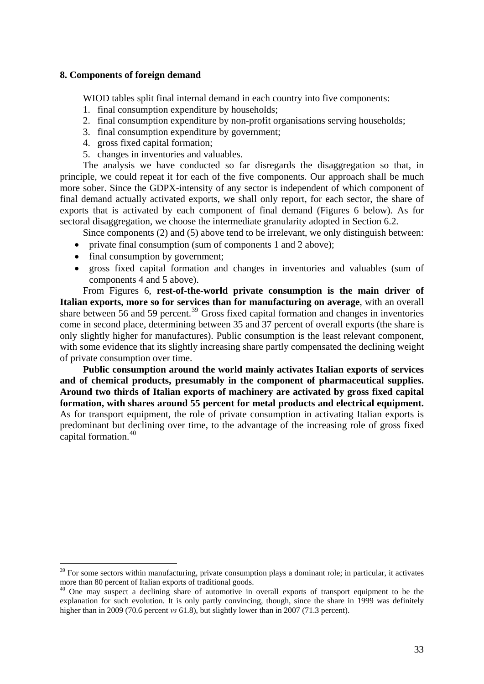### <span id="page-32-0"></span>**8. Components of foreign demand**

WIOD tables split final internal demand in each country into five components:

- 1. final consumption expenditure by households;
- 2. final consumption expenditure by non-profit organisations serving households;
- 3. final consumption expenditure by government;
- 4. gross fixed capital formation;
- 5. changes in inventories and valuables.

The analysis we have conducted so far disregards the disaggregation so that, in principle, we could repeat it for each of the five components. Our approach shall be much more sober. Since the GDPX-intensity of any sector is independent of which component of final demand actually activated exports, we shall only report, for each sector, the share of exports that is activated by each component of final demand (Figures 6 below). As for sectoral disaggregation, we choose the intermediate granularity adopted in Section 6.2.

Since components (2) and (5) above tend to be irrelevant, we only distinguish between:

- private final consumption (sum of components 1 and 2 above);
- final consumption by government;

 $\overline{a}$ 

 gross fixed capital formation and changes in inventories and valuables (sum of components 4 and 5 above).

From Figures 6, **rest-of-the-world private consumption is the main driver of Italian exports, more so for services than for manufacturing on average**, with an overall share between 56 and 59 percent.<sup>[39](#page-32-1)</sup> Gross fixed capital formation and changes in inventories come in second place, determining between 35 and 37 percent of overall exports (the share is only slightly higher for manufactures). Public consumption is the least relevant component, with some evidence that its slightly increasing share partly compensated the declining weight of private consumption over time.

**Public consumption around the world mainly activates Italian exports of services and of chemical products, presumably in the component of pharmaceutical supplies. Around two thirds of Italian exports of machinery are activated by gross fixed capital formation, with shares around 55 percent for metal products and electrical equipment.** As for transport equipment, the role of private consumption in activating Italian exports is predominant but declining over time, to the advantage of the increasing role of gross fixed capital formation.[40](#page-32-2)

<span id="page-32-1"></span> $39$  For some sectors within manufacturing, private consumption plays a dominant role; in particular, it activates more than 80 percent of Italian exports of traditional goods.

<span id="page-32-2"></span><sup>&</sup>lt;sup>40</sup> One may suspect a declining share of automotive in overall exports of transport equipment to be the explanation for such evolution. It is only partly convincing, though, since the share in 1999 was definitely higher than in 2009 (70.6 percent *vs* 61.8), but slightly lower than in 2007 (71.3 percent).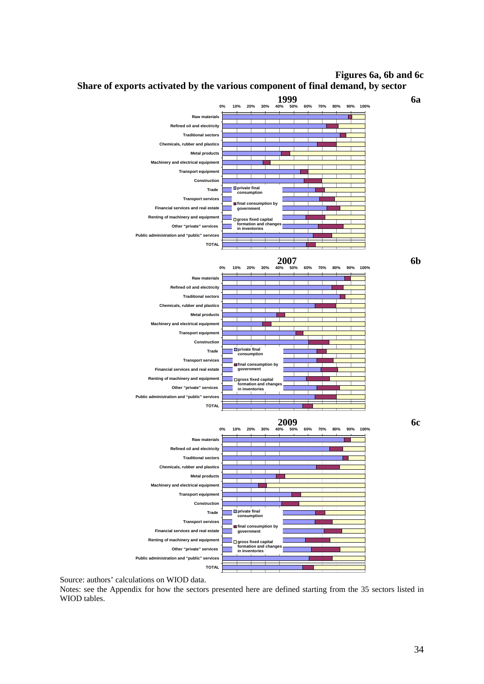**Figures 6a, 6b and 6c** 



**Share of exports activated by the various component of final demand, by sector** 

Source: authors' calculations on WIOD data.

Notes: see the Appendix for how the sectors presented here are defined starting from the 35 sectors listed in WIOD tables.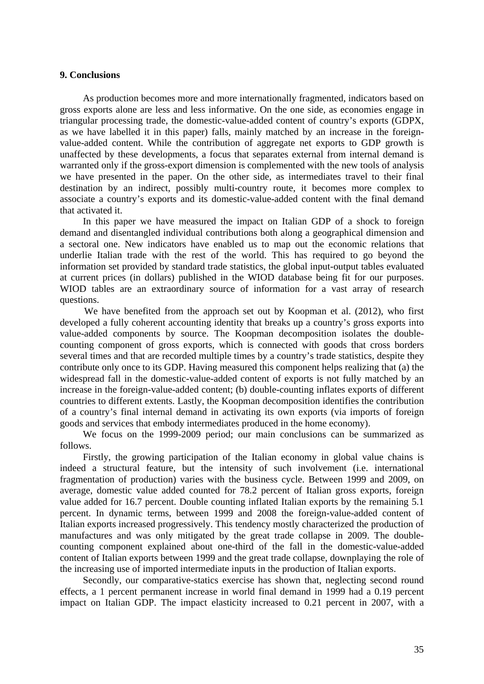### <span id="page-34-0"></span>**9. Conclusions**

As production becomes more and more internationally fragmented, indicators based on gross exports alone are less and less informative. On the one side, as economies engage in triangular processing trade, the domestic-value-added content of country's exports (GDPX, as we have labelled it in this paper) falls, mainly matched by an increase in the foreignvalue-added content. While the contribution of aggregate net exports to GDP growth is unaffected by these developments, a focus that separates external from internal demand is warranted only if the gross-export dimension is complemented with the new tools of analysis we have presented in the paper. On the other side, as intermediates travel to their final destination by an indirect, possibly multi-country route, it becomes more complex to associate a country's exports and its domestic-value-added content with the final demand that activated it.

In this paper we have measured the impact on Italian GDP of a shock to foreign demand and disentangled individual contributions both along a geographical dimension and a sectoral one. New indicators have enabled us to map out the economic relations that underlie Italian trade with the rest of the world. This has required to go beyond the information set provided by standard trade statistics, the global input-output tables evaluated at current prices (in dollars) published in the WIOD database being fit for our purposes. WIOD tables are an extraordinary source of information for a vast array of research questions.

We have benefited from the approach set out by Koopman et al. (2012), who first developed a fully coherent accounting identity that breaks up a country's gross exports into value-added components by source. The Koopman decomposition isolates the doublecounting component of gross exports, which is connected with goods that cross borders several times and that are recorded multiple times by a country's trade statistics, despite they contribute only once to its GDP. Having measured this component helps realizing that (a) the widespread fall in the domestic-value-added content of exports is not fully matched by an increase in the foreign-value-added content; (b) double-counting inflates exports of different countries to different extents. Lastly, the Koopman decomposition identifies the contribution of a country's final internal demand in activating its own exports (via imports of foreign goods and services that embody intermediates produced in the home economy).

We focus on the 1999-2009 period; our main conclusions can be summarized as follows.

Firstly, the growing participation of the Italian economy in global value chains is indeed a structural feature, but the intensity of such involvement (i.e. international fragmentation of production) varies with the business cycle. Between 1999 and 2009, on average, domestic value added counted for 78.2 percent of Italian gross exports, foreign value added for 16.7 percent. Double counting inflated Italian exports by the remaining 5.1 percent. In dynamic terms, between 1999 and 2008 the foreign-value-added content of Italian exports increased progressively. This tendency mostly characterized the production of manufactures and was only mitigated by the great trade collapse in 2009. The doublecounting component explained about one-third of the fall in the domestic-value-added content of Italian exports between 1999 and the great trade collapse, downplaying the role of the increasing use of imported intermediate inputs in the production of Italian exports.

Secondly, our comparative-statics exercise has shown that, neglecting second round effects, a 1 percent permanent increase in world final demand in 1999 had a 0.19 percent impact on Italian GDP. The impact elasticity increased to 0.21 percent in 2007, with a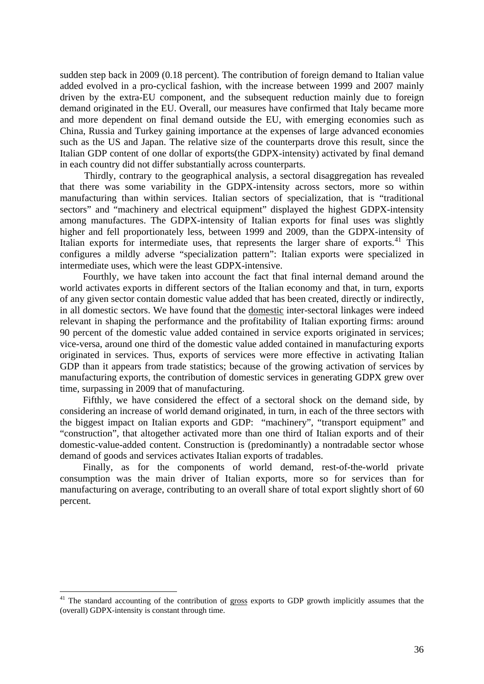sudden step back in 2009 (0.18 percent). The contribution of foreign demand to Italian value added evolved in a pro-cyclical fashion, with the increase between 1999 and 2007 mainly driven by the extra-EU component, and the subsequent reduction mainly due to foreign demand originated in the EU. Overall, our measures have confirmed that Italy became more and more dependent on final demand outside the EU, with emerging economies such as China, Russia and Turkey gaining importance at the expenses of large advanced economies such as the US and Japan. The relative size of the counterparts drove this result, since the Italian GDP content of one dollar of exports(the GDPX-intensity) activated by final demand in each country did not differ substantially across counterparts.

Thirdly, contrary to the geographical analysis, a sectoral disaggregation has revealed that there was some variability in the GDPX-intensity across sectors, more so within manufacturing than within services. Italian sectors of specialization, that is "traditional sectors" and "machinery and electrical equipment" displayed the highest GDPX-intensity among manufactures. The GDPX-intensity of Italian exports for final uses was slightly higher and fell proportionately less, between 1999 and 2009, than the GDPX-intensity of Italian exports for intermediate uses, that represents the larger share of exports. $41$  This configures a mildly adverse "specialization pattern": Italian exports were specialized in intermediate uses, which were the least GDPX-intensive.

Fourthly, we have taken into account the fact that final internal demand around the world activates exports in different sectors of the Italian economy and that, in turn, exports of any given sector contain domestic value added that has been created, directly or indirectly, in all domestic sectors. We have found that the domestic inter-sectoral linkages were indeed relevant in shaping the performance and the profitability of Italian exporting firms: around 90 percent of the domestic value added contained in service exports originated in services; vice-versa, around one third of the domestic value added contained in manufacturing exports originated in services. Thus, exports of services were more effective in activating Italian GDP than it appears from trade statistics; because of the growing activation of services by manufacturing exports, the contribution of domestic services in generating GDPX grew over time, surpassing in 2009 that of manufacturing.

Fifthly, we have considered the effect of a sectoral shock on the demand side, by considering an increase of world demand originated, in turn, in each of the three sectors with the biggest impact on Italian exports and GDP: "machinery", "transport equipment" and "construction", that altogether activated more than one third of Italian exports and of their domestic-value-added content. Construction is (predominantly) a nontradable sector whose demand of goods and services activates Italian exports of tradables.

Finally, as for the components of world demand, rest-of-the-world private consumption was the main driver of Italian exports, more so for services than for manufacturing on average, contributing to an overall share of total export slightly short of 60 percent.

<span id="page-35-0"></span><sup>&</sup>lt;sup>41</sup> The standard accounting of the contribution of gross exports to GDP growth implicitly assumes that the (overall) GDPX-intensity is constant through time.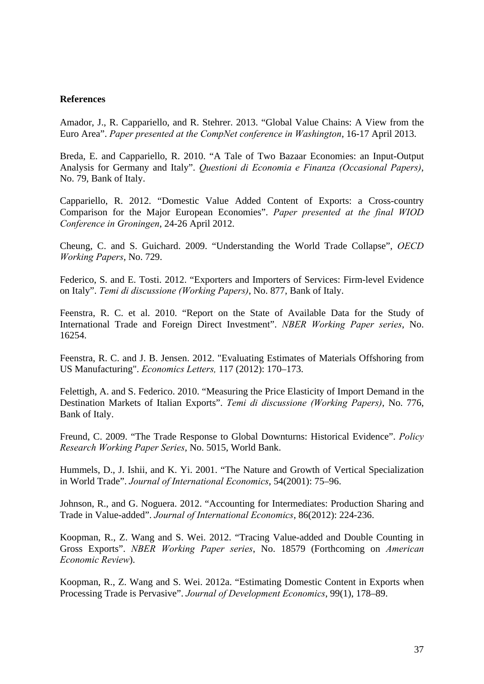### <span id="page-36-0"></span>**References**

Amador, J., R. Cappariello, and R. Stehrer. 2013. "Global Value Chains: A View from the Euro Area". *Paper presented at the CompNet conference in Washington*, 16-17 April 2013.

Breda, E. and Cappariello, R. 2010. "A Tale of Two Bazaar Economies: an Input-Output Analysis for Germany and Italy". *Questioni di Economia e Finanza (Occasional Papers)*, No. 79, Bank of Italy.

Cappariello, R. 2012. "Domestic Value Added Content of Exports: a Cross-country Comparison for the Major European Economies". *Paper presented at the final WIOD Conference in Groningen*, 24-26 April 2012.

Cheung, C. and S. Guichard. 2009. "Understanding the World Trade Collapse", *OECD Working Papers*, No. 729.

Federico, S. and E. Tosti. 2012. "Exporters and Importers of Services: Firm-level Evidence on Italy". *Temi di discussione (Working Papers)*, No. 877, Bank of Italy.

Feenstra, R. C. et al. 2010. "Report on the State of Available Data for the Study of International Trade and Foreign Direct Investment". *NBER Working Paper series*, No. 16254.

Feenstra, R. C. and J. B. Jensen. 2012. "Evaluating Estimates of Materials Offshoring from US Manufacturing". *Economics Letters,* 117 (2012): 170–173.

Felettigh, A. and S. Federico. 2010. "Measuring the Price Elasticity of Import Demand in the Destination Markets of Italian Exports". *Temi di discussione (Working Papers)*, No. 776, Bank of Italy.

Freund, C. 2009. "The Trade Response to Global Downturns: Historical Evidence". *Policy Research Working Paper Series*, No. 5015, World Bank.

Hummels, D., J. Ishii, and K. Yi. 2001. "The Nature and Growth of Vertical Specialization in World Trade". *Journal of International Economics*, 54(2001): 75–96.

Johnson, R., and G. Noguera. 2012. "Accounting for Intermediates: Production Sharing and Trade in Value-added". *Journal of International Economics*, 86(2012): 224-236.

Koopman, R., Z. Wang and S. Wei. 2012. "Tracing Value-added and Double Counting in Gross Exports". *NBER Working Paper series*, No. 18579 (Forthcoming on *American Economic Review*).

Koopman, R., Z. Wang and S. Wei. 2012a. "Estimating Domestic Content in Exports when Processing Trade is Pervasive". *Journal of Development Economics*, 99(1), 178–89.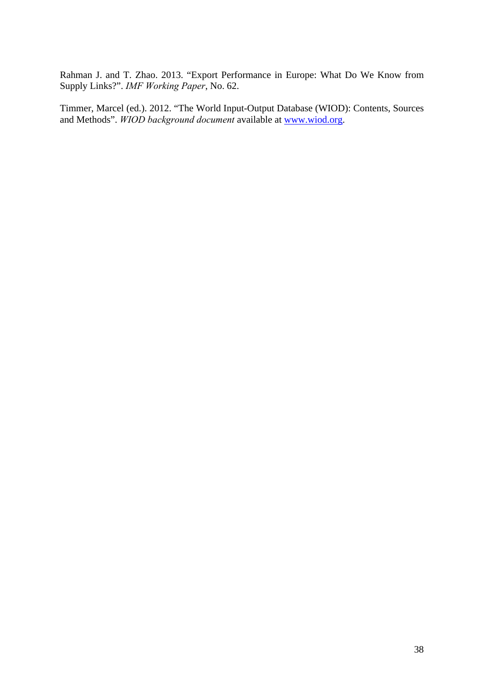Rahman J. and T. Zhao. 2013. "Export Performance in Europe: What Do We Know from Supply Links?". *IMF Working Paper*, No. 62.

Timmer, Marcel (ed.). 2012. "The World Input-Output Database (WIOD): Contents, Sources and Methods". *WIOD background document* available at [www.wiod.org.](http://www.wiod.org/)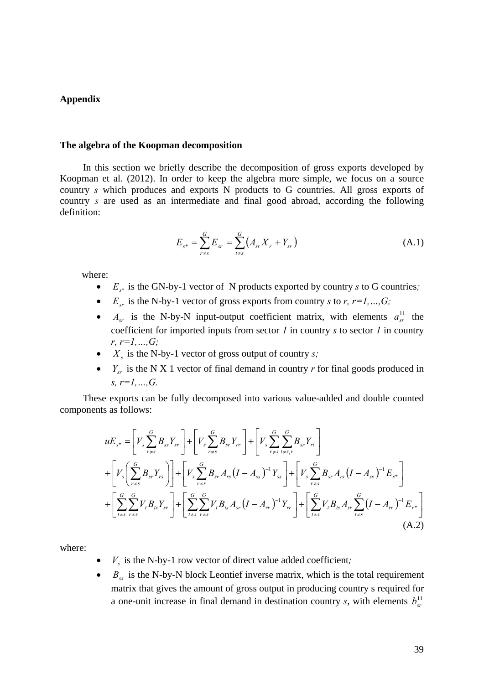### <span id="page-38-0"></span>**Appendix**

#### **The algebra of the Koopman decomposition**

In this section we briefly describe the decomposition of gross exports developed by Koopman et al. (2012). In order to keep the algebra more simple, we focus on a source country *s* which produces and exports N products to G countries. All gross exports of country *s* are used as an intermediate and final good abroad, according the following definition:

$$
E_{s^*} = \sum_{r \neq s}^{G} E_{sr} = \sum_{t \neq s}^{G} \left( A_{sr} X_r + Y_{sr} \right) \tag{A.1}
$$

where:

- $E_{s^*}$  is the GN-by-1 vector of N products exported by country *s* to G countries;
- $E_{sr}$  is the N-by-1 vector of gross exports from country *s* to *r*,  $r=1,...,G$ ;
- $A_{sr}$  is the N-by-N input-output coefficient matrix, with elements  $a_{sr}^{11}$  the coefficient for imported inputs from sector *1* in country *s* to sector *1* in country *r, r=1,…,G;*
- $X<sub>s</sub>$  is the N-by-1 vector of gross output of country *s*;
- $Y_{sr}$  is the N X 1 vector of final demand in country *r* for final goods produced in *s, r=1,…,G.*

These exports can be fully decomposed into various value-added and double counted components as follows:

$$
uE_{s^*} = \left[V_s \sum_{r=s}^{G} B_{ss} Y_{sr}\right] + \left[V_s \sum_{r=s}^{G} B_{sr} Y_{rr}\right] + \left[V_s \sum_{r=s}^{G} \sum_{t=s,r}^{G} B_{sr} Y_{rt}\right]
$$
  
+ 
$$
\left[V_s \left(\sum_{r=s}^{G} B_{sr} Y_{rs}\right)\right] + \left[V_s \sum_{r=s}^{G} B_{sr} A_{rs} (I - A_{ss})^{-1} Y_{ss}\right] + \left[V_s \sum_{r=s}^{G} B_{sr} A_{rs} (I - A_{ss})^{-1} E_{s^*}\right]
$$
  
+ 
$$
\left[\sum_{t=s}^{G} \sum_{r=s}^{G} V_t B_{ts} Y_{sr}\right] + \left[\sum_{t=s}^{G} \sum_{r=s}^{G} V_t B_{ts} A_{sr} (I - A_{rr})^{-1} Y_{rr}\right] + \left[\sum_{t=s}^{G} V_t B_{ts} A_{sr} \sum_{t=s}^{G} (I - A_{rr})^{-1} E_{rs}\right]
$$
(A.2)

where:

- $V_s$  is the N-by-1 row vector of direct value added coefficient;
- $\bullet$  *B<sub>ss</sub>* is the N-by-N block Leontief inverse matrix, which is the total requirement matrix that gives the amount of gross output in producing country s required for a one-unit increase in final demand in destination country *s*, with elements  $b_{sr}^{11}$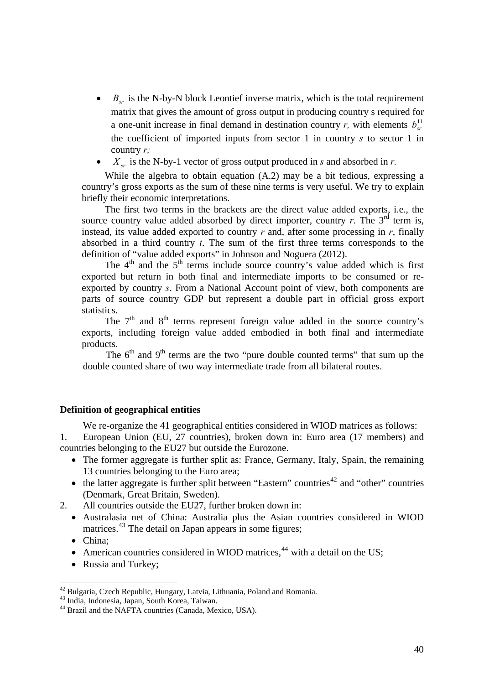- $\bullet$  *B<sub>sr</sub>* is the N-by-N block Leontief inverse matrix, which is the total requirement matrix that gives the amount of gross output in producing country s required for a one-unit increase in final demand in destination country *r*, with elements  $b_{n}^{\perp 1}$ the coefficient of imported inputs from sector 1 in country *s* to sector 1 in country *r;*
- $X_{cr}$  is the N-by-1 vector of gross output produced in *s* and absorbed in *r*.

While the algebra to obtain equation (A.2) may be a bit tedious, expressing a country's gross exports as the sum of these nine terms is very useful. We try to explain briefly their economic interpretations.

The first two terms in the brackets are the direct value added exports, i.e., the source country value added absorbed by direct importer, country  $r$ . The  $3<sup>rd</sup>$  term is, instead, its value added exported to country *r* and, after some processing in *r*, finally absorbed in a third country *t*. The sum of the first three terms corresponds to the definition of "value added exports" in Johnson and Noguera (2012).

The  $4<sup>th</sup>$  and the  $5<sup>th</sup>$  terms include source country's value added which is first exported but return in both final and intermediate imports to be consumed or reexported by country *s*. From a National Account point of view, both components are parts of source country GDP but represent a double part in official gross export statistics.

The  $7<sup>th</sup>$  and  $8<sup>th</sup>$  terms represent foreign value added in the source country's exports, including foreign value added embodied in both final and intermediate products.

The  $6<sup>th</sup>$  and  $9<sup>th</sup>$  terms are the two "pure double counted terms" that sum up the double counted share of two way intermediate trade from all bilateral routes.

### **Definition of geographical entities**

We re-organize the 41 geographical entities considered in WIOD matrices as follows:

1. European Union (EU, 27 countries), broken down in: Euro area (17 members) and countries belonging to the EU27 but outside the Eurozone.

- The former aggregate is further split as: France, Germany, Italy, Spain, the remaining 13 countries belonging to the Euro area;
- $\bullet$  the latter aggregate is further split between "Eastern" countries<sup>[42](#page-39-0)</sup> and "other" countries (Denmark, Great Britain, Sweden).
- 2. All countries outside the EU27, further broken down in:
	- Australasia net of China: Australia plus the Asian countries considered in WIOD matrices.<sup>[43](#page-39-1)</sup> The detail on Japan appears in some figures;
	- China:

- American countries considered in WIOD matrices,  $44$  with a detail on the US;
- Russia and Turkey;

<sup>42</sup> Bulgaria, Czech Republic, Hungary, Latvia, Lithuania, Poland and Romania.

<span id="page-39-1"></span><span id="page-39-0"></span><sup>43</sup> India, Indonesia, Japan, South Korea, Taiwan.

<span id="page-39-2"></span><sup>&</sup>lt;sup>44</sup> Brazil and the NAFTA countries (Canada, Mexico, USA).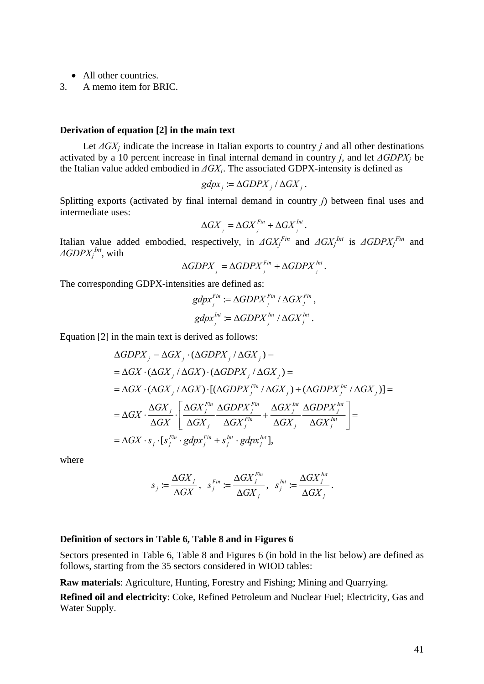- All other countries.
- 3. A memo item for BRIC.

### **Derivation of equation [2] in the main text**

Let  $\Delta G X_i$  indicate the increase in Italian exports to country *j* and all other destinations activated by a 10 percent increase in final internal demand in country *j*, and let *ΔGDPXj* be the Italian value added embodied in *ΔGXj*. The associated GDPX-intensity is defined as

$$
gdpx_j := \Delta GDPX_j / \Delta GX_j.
$$

Splitting exports (activated by final internal demand in country *j*) between final uses and intermediate uses:

$$
\Delta GX_{i} = \Delta GX_{i}^{Fin} + \Delta GX_{i}^{Int}.
$$

Italian value added embodied, respectively, in  $\Delta G X_j^{Fin}$  and  $\Delta G X_j^{Int}$  is  $\Delta G D P X_j^{Fin}$  and *ΔGDPXj Int*, with

$$
\Delta GDPX_{i} = \Delta GDPX_{i}^{Fin} + \Delta GDPX_{i}^{Int}.
$$

The corresponding GDPX-intensities are defined as:

$$
gdpx_j^{Fin} := \Delta GDPX_j^{Fin} / \Delta GX_j^{Fin},
$$
  

$$
gdpx_j^{Int} := \Delta GDPX_j^{Int} / \Delta GX_j^{Int}.
$$

Equation [2] in the main text is derived as follows:

$$
\Delta GDPX_j = \Delta GX_j \cdot (\Delta GDPX_j / \Delta GX_j) =
$$
\n
$$
= \Delta GX \cdot (\Delta GX_j / \Delta GX) \cdot (\Delta GDPX_j / \Delta GX_j) =
$$
\n
$$
= \Delta GX \cdot (\Delta GX_j / \Delta GX) \cdot [(\Delta GDPX_j^{Fin} / \DeltaGX_j) + (\Delta GDPX_j^{Int} / \Delta GX_j)] =
$$
\n
$$
= \Delta GX \cdot \frac{\Delta GX_j}{\Delta GX} \cdot \left[ \frac{\Delta GX_j^{Fin}}{\Delta GX_j} \frac{\Delta GDPX_j^{Fin}}{\Delta GX_j^{Fin}} + \frac{\Delta GX_j^{Int}}{\Delta GX_j} \frac{\Delta GDPX_j^{Int}}{\Delta GX_j^{Int}} \right] =
$$
\n
$$
= \Delta GX \cdot s_j \cdot [s_j^{Fin} \cdot gdpx_j^{Fin} + s_j^{Int} \cdot gdpx_j^{Int}],
$$

where

$$
s_j \coloneqq \frac{\Delta G X_j}{\Delta G X}, \ \ s_j^{Fin} \coloneqq \frac{\Delta G X_j^{Fin}}{\Delta G X_j}, \ \ s_j^{Int} \coloneqq \frac{\Delta G X_j^{Int}}{\Delta G X_j}.
$$

### **Definition of sectors in Table 6, Table 8 and in Figures 6**

Sectors presented in Table 6, Table 8 and Figures 6 (in bold in the list below) are defined as follows, starting from the 35 sectors considered in WIOD tables:

**Raw materials**: Agriculture, Hunting, Forestry and Fishing; Mining and Quarrying.

**Refined oil and electricity**: Coke, Refined Petroleum and Nuclear Fuel; Electricity, Gas and Water Supply.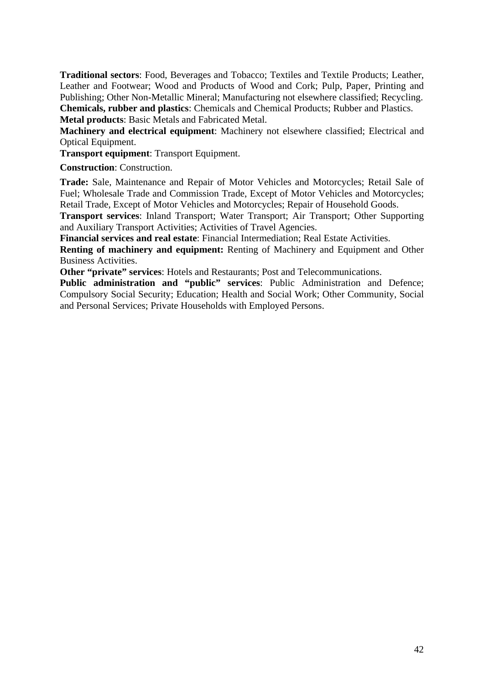**Traditional sectors**: Food, Beverages and Tobacco; Textiles and Textile Products; Leather, Leather and Footwear; Wood and Products of Wood and Cork; Pulp, Paper, Printing and Publishing; Other Non-Metallic Mineral; Manufacturing not elsewhere classified; Recycling. **Chemicals, rubber and plastics**: Chemicals and Chemical Products; Rubber and Plastics. **Metal products**: Basic Metals and Fabricated Metal.

**Machinery and electrical equipment**: Machinery not elsewhere classified; Electrical and

Optical Equipment. **Transport equipment**: Transport Equipment.

**Construction**: Construction.

**Trade:** Sale, Maintenance and Repair of Motor Vehicles and Motorcycles; Retail Sale of Fuel; Wholesale Trade and Commission Trade, Except of Motor Vehicles and Motorcycles; Retail Trade, Except of Motor Vehicles and Motorcycles; Repair of Household Goods.

**Transport services**: Inland Transport; Water Transport; Air Transport; Other Supporting and Auxiliary Transport Activities; Activities of Travel Agencies.

**Financial services and real estate**: Financial Intermediation; Real Estate Activities.

**Renting of machinery and equipment:** Renting of Machinery and Equipment and Other Business Activities.

**Other "private" services**: Hotels and Restaurants; Post and Telecommunications.

**Public administration and "public" services**: Public Administration and Defence; Compulsory Social Security; Education; Health and Social Work; Other Community, Social and Personal Services; Private Households with Employed Persons.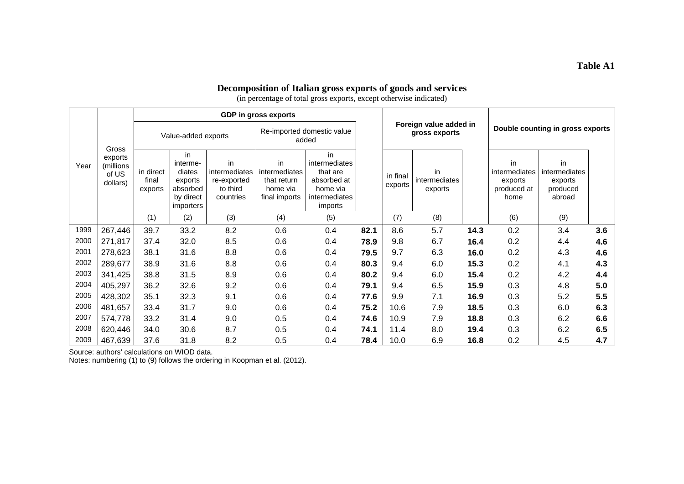### **Decomposition of Italian gross exports of goods and services**

(in percentage of total gross exports, except otherwise indicated)

|      |                                                    |                               |                                                                                  |                                                             | GDP in gross exports                                            |                                                                                        |      |                                         |                                |                                  |                                                       |                                                      |     |  |
|------|----------------------------------------------------|-------------------------------|----------------------------------------------------------------------------------|-------------------------------------------------------------|-----------------------------------------------------------------|----------------------------------------------------------------------------------------|------|-----------------------------------------|--------------------------------|----------------------------------|-------------------------------------------------------|------------------------------------------------------|-----|--|
|      |                                                    | Value-added exports           |                                                                                  |                                                             | Re-imported domestic value<br>added                             |                                                                                        |      | Foreign value added in<br>gross exports |                                | Double counting in gross exports |                                                       |                                                      |     |  |
| Year | Gross<br>exports<br>(millions<br>of US<br>dollars) | in direct<br>final<br>exports | in<br>interme-<br>diates<br>exports<br>absorbed<br>by direct<br><i>importers</i> | in<br>intermediates<br>re-exported<br>to third<br>countries | in<br>intermediates<br>that return<br>home via<br>final imports | in<br>intermediates<br>that are<br>absorbed at<br>home via<br>intermediates<br>imports |      | in final<br>exports                     | in<br>intermediates<br>exports |                                  | in<br>intermediates<br>exports<br>produced at<br>home | in<br>intermediates<br>exports<br>produced<br>abroad |     |  |
|      |                                                    | (1)                           | (2)                                                                              | (3)                                                         | (4)                                                             | (5)                                                                                    |      | (7)                                     | (8)                            |                                  | (6)                                                   | (9)                                                  |     |  |
| 1999 | 267,446                                            | 39.7                          | 33.2                                                                             | 8.2                                                         | 0.6                                                             | 0.4                                                                                    | 82.1 | 8.6                                     | 5.7                            | 14.3                             | 0.2                                                   | 3.4                                                  | 3.6 |  |
| 2000 | 271,817                                            | 37.4                          | 32.0                                                                             | 8.5                                                         | 0.6                                                             | 0.4                                                                                    | 78.9 | 9.8                                     | 6.7                            | 16.4                             | 0.2                                                   | 4.4                                                  | 4.6 |  |
| 2001 | 278,623                                            | 38.1                          | 31.6                                                                             | 8.8                                                         | 0.6                                                             | 0.4                                                                                    | 79.5 | 9.7                                     | 6.3                            | 16.0                             | 0.2                                                   | 4.3                                                  | 4.6 |  |
| 2002 | 289,677                                            | 38.9                          | 31.6                                                                             | 8.8                                                         | 0.6                                                             | 0.4                                                                                    | 80.3 | 9.4                                     | 6.0                            | 15.3                             | 0.2                                                   | 4.1                                                  | 4.3 |  |
| 2003 | 341,425                                            | 38.8                          | 31.5                                                                             | 8.9                                                         | 0.6                                                             | 0.4                                                                                    | 80.2 | 9.4                                     | 6.0                            | 15.4                             | 0.2                                                   | 4.2                                                  | 4.4 |  |
| 2004 | 405,297                                            | 36.2                          | 32.6                                                                             | 9.2                                                         | 0.6                                                             | 0.4                                                                                    | 79.1 | 9.4                                     | 6.5                            | 15.9                             | 0.3                                                   | 4.8                                                  | 5.0 |  |
| 2005 | 428,302                                            | 35.1                          | 32.3                                                                             | 9.1                                                         | 0.6                                                             | 0.4                                                                                    | 77.6 | 9.9                                     | 7.1                            | 16.9                             | 0.3                                                   | 5.2                                                  | 5.5 |  |
| 2006 | 481,657                                            | 33.4                          | 31.7                                                                             | 9.0                                                         | 0.6                                                             | 0.4                                                                                    | 75.2 | 10.6                                    | 7.9                            | 18.5                             | 0.3                                                   | 6.0                                                  | 6.3 |  |
| 2007 | 574,778                                            | 33.2                          | 31.4                                                                             | 9.0                                                         | 0.5                                                             | 0.4                                                                                    | 74.6 | 10.9                                    | 7.9                            | 18.8                             | 0.3                                                   | 6.2                                                  | 6.6 |  |
| 2008 | 620,446                                            | 34.0                          | 30.6                                                                             | 8.7                                                         | 0.5                                                             | 0.4                                                                                    | 74.1 | 11.4                                    | 8.0                            | 19.4                             | 0.3                                                   | 6.2                                                  | 6.5 |  |
| 2009 | 467,639                                            | 37.6                          | 31.8                                                                             | 8.2                                                         | 0.5                                                             | 0.4                                                                                    | 78.4 | 10.0                                    | 6.9                            | 16.8                             | 0.2                                                   | 4.5                                                  | 4.7 |  |

Source: authors' calculations on WIOD data.

Notes: numbering (1) to (9) follows the ordering in Koopman et al. (2012).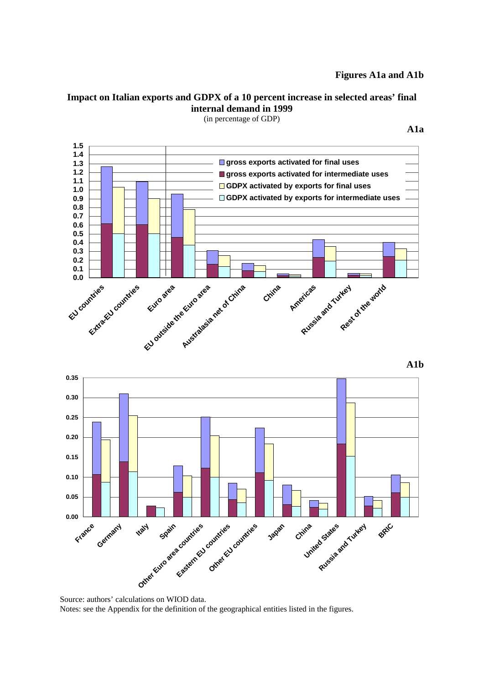# **Figures A1a and A1b**

# **Impact on Italian exports and GDPX of a 10 percent increase in selected areas' final internal demand in 1999**



(in percentage of GDP)

**A1b** 



Source: authors' calculations on WIOD data. Notes: see the Appendix for the definition of the geographical entities listed in the figures.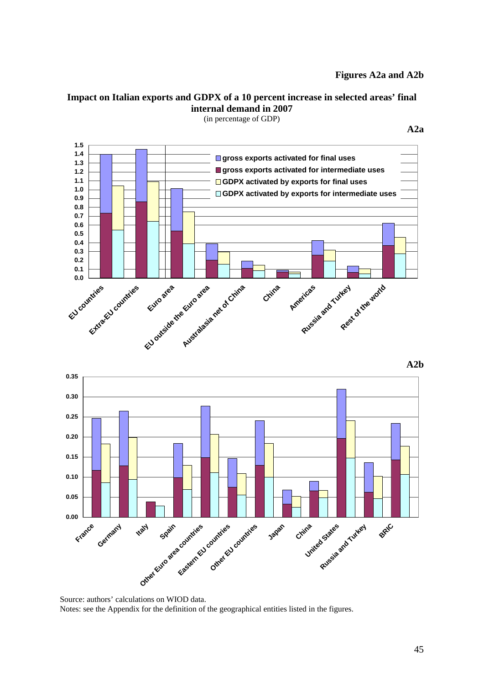# **Figures A2a and A2b**

**A2a** 

# **Impact on Italian exports and GDPX of a 10 percent increase in selected areas' final internal demand in 2007**

**0.0 0.1 0.2 0.3 0.4 0.5 0.6 0.7 0.8 0.9 1.0 1.1 1.2 1.3 1.4 1.5 EU countries** Extra<sub>EU countries</sub>  **Euro area EU outside the Euro area Australasia net of China China Russia and Turkey** of the world **gross exports activated for final uses gross exports activated for intermediate uses GDPX activated by exports for final uses GDPX activated by exports for intermediate uses**

(in percentage of GDP)

**A2b** 



Source: authors' calculations on WIOD data. Notes: see the Appendix for the definition of the geographical entities listed in the figures.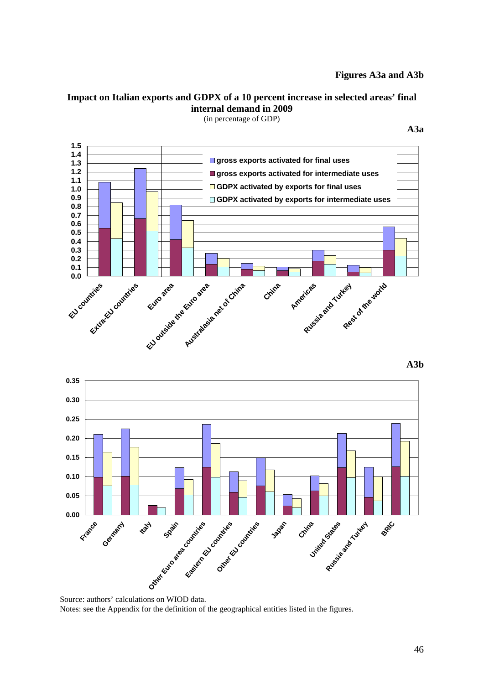# **Figures A3a and A3b**

**A3a** 

# **Impact on Italian exports and GDPX of a 10 percent increase in selected areas' final internal demand in 2009**

**0.0 0.1 0.2 0.3 0.4 0.5 0.6 0.7 0.8 0.9 1.0 1.1 1.2 1.3 1.4 1.5 EU countries Extra** EU countries **Euro area EU outside the Euro area Australasia net of China China Americas Russia and Turkey Rest of the world gross exports activated for final uses gross exports activated for intermediate uses GDPX activated by exports for final uses GDPX activated by exports for intermediate uses**

(in percentage of GDP)

**A3b** 



Source: authors' calculations on WIOD data. Notes: see the Appendix for the definition of the geographical entities listed in the figures.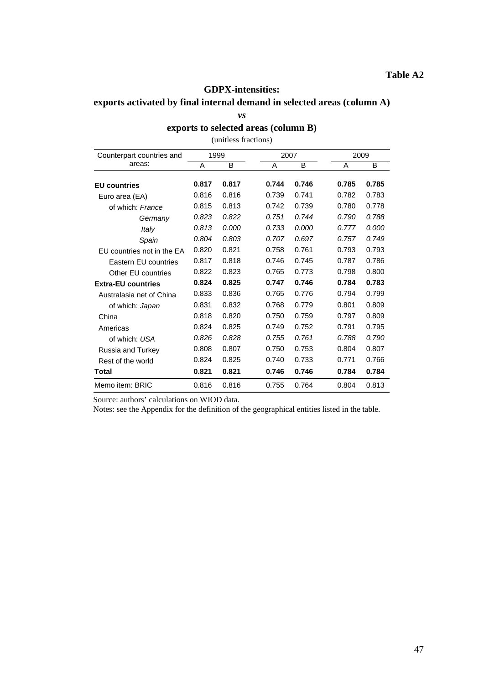### **GDPX-intensities:**

# **exports activated by final internal demand in selected areas (column A)**

*vs* 

## **exports to selected areas (column B)**

(unitless fractions)

| Counterpart countries and  |       | 1999  | 2007  |       | 2009  |       |  |  |
|----------------------------|-------|-------|-------|-------|-------|-------|--|--|
| areas:                     | Α     | B     | A     | B     | A     | B     |  |  |
| <b>EU</b> countries        | 0.817 | 0.817 | 0.744 | 0.746 | 0.785 | 0.785 |  |  |
| Euro area (EA)             | 0.816 | 0.816 | 0.739 | 0.741 | 0.782 | 0.783 |  |  |
| of which: France           | 0.815 | 0.813 | 0.742 | 0.739 | 0.780 | 0.778 |  |  |
| Germany                    | 0.823 | 0.822 | 0.751 | 0.744 | 0.790 | 0.788 |  |  |
| Italy                      | 0.813 | 0.000 | 0.733 | 0.000 | 0.777 | 0.000 |  |  |
| Spain                      | 0.804 | 0.803 | 0.707 | 0.697 | 0.757 | 0.749 |  |  |
| EU countries not in the EA | 0.820 | 0.821 | 0.758 | 0.761 | 0.793 | 0.793 |  |  |
| Eastern EU countries       | 0.817 | 0.818 | 0.746 | 0.745 | 0.787 | 0.786 |  |  |
| Other EU countries         | 0.822 | 0.823 | 0.765 | 0.773 | 0.798 | 0.800 |  |  |
| <b>Extra-EU countries</b>  | 0.824 | 0.825 | 0.747 | 0.746 | 0.784 | 0.783 |  |  |
| Australasia net of China   | 0.833 | 0.836 | 0.765 | 0.776 | 0.794 | 0.799 |  |  |
| of which: Japan            | 0.831 | 0.832 | 0.768 | 0.779 | 0.801 | 0.809 |  |  |
| China                      | 0.818 | 0.820 | 0.750 | 0.759 | 0.797 | 0.809 |  |  |
| Americas                   | 0.824 | 0.825 | 0.749 | 0.752 | 0.791 | 0.795 |  |  |
| of which: USA              | 0.826 | 0.828 | 0.755 | 0.761 | 0.788 | 0.790 |  |  |
| Russia and Turkey          | 0.808 | 0.807 | 0.750 | 0.753 | 0.804 | 0.807 |  |  |
| Rest of the world          | 0.824 | 0.825 | 0.740 | 0.733 | 0.771 | 0.766 |  |  |
| Total                      | 0.821 | 0.821 | 0.746 | 0.746 | 0.784 | 0.784 |  |  |
| Memo item: BRIC            | 0.816 | 0.816 | 0.755 | 0.764 | 0.804 | 0.813 |  |  |

Source: authors' calculations on WIOD data.

Notes: see the Appendix for the definition of the geographical entities listed in the table.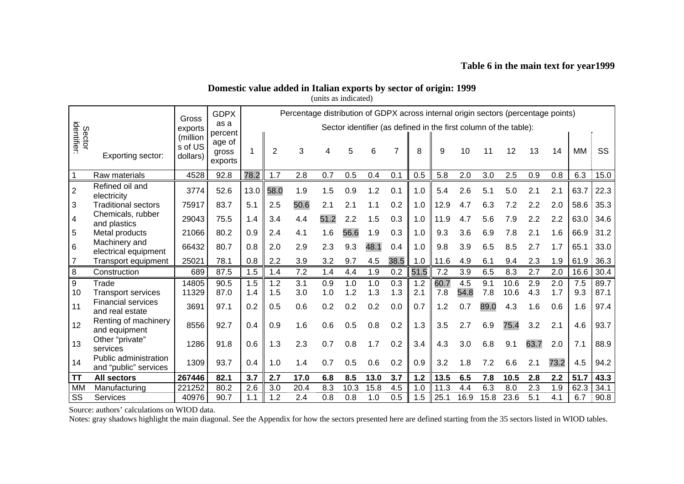## **Table 6 in the main text for year1999**

# **Domestic value added in Italian exports by sector of origin: 1999**

(units as indicated)

|                         |                                                | Gross   | <b>GDPX</b><br>Percentage distribution of GDPX across internal origin sectors (percentage points) |                                                                  |      |      |      |      |      |      |       |      |      |      |      |      |      |      |      |
|-------------------------|------------------------------------------------|---------|---------------------------------------------------------------------------------------------------|------------------------------------------------------------------|------|------|------|------|------|------|-------|------|------|------|------|------|------|------|------|
|                         |                                                | exports | as a                                                                                              | Sector identifier (as defined in the first column of the table): |      |      |      |      |      |      |       |      |      |      |      |      |      |      |      |
|                         | Sector<br>identifier:<br>Exporting sector:     |         | percent<br>age of<br>gross<br>exports                                                             |                                                                  | 2    | 3    | 4    | 5    | 6    |      | 8     | 9    | 10   | 11   | 12   | 13   | 14   | МM   | SS   |
|                         | Raw materials                                  | 4528    | 92.8                                                                                              | 78.2                                                             | 1.7  | 2.8  | 0.7  | 0.5  | 0.4  | 0.1  | 0.5   | 5.8  | 2.0  | 3.0  | 2.5  | 0.9  | 0.8  | 6.3  | 15.0 |
| $\overline{2}$          | Refined oil and<br>electricity                 | 3774    | 52.6                                                                                              | 13.0                                                             | 58.0 | 1.9  | 1.5  | 0.9  | 1.2  | 0.1  | 1.0   | 5.4  | 2.6  | 5.1  | 5.0  | 2.1  | 2.1  | 63.7 | 22.3 |
| 3                       | <b>Traditional sectors</b>                     | 75917   | 83.7                                                                                              | 5.1                                                              | 2.5  | 50.6 | 2.1  | 2.1  | 1.1  | 0.2  | 1.0   | 12.9 | 4.7  | 6.3  | 7.2  | 2.2  | 2.0  | 58.6 | 35.3 |
| $\overline{\mathbf{4}}$ | Chemicals, rubber<br>and plastics              | 29043   | 75.5                                                                                              | 1.4                                                              | 3.4  | 4.4  | 51.2 | 2.2  | 1.5  | 0.3  | 1.0   | 11.9 | 4.7  | 5.6  | 7.9  | 2.2  | 2.2  | 63.0 | 34.6 |
| 5                       | Metal products                                 | 21066   | 80.2                                                                                              | 0.9                                                              | 2.4  | 4.1  | 1.6  | 56.6 | 1.9  | 0.3  | 1.0   | 9.3  | 3.6  | 6.9  | 7.8  | 2.1  | 1.6  | 66.9 | 31.2 |
| $\,6$                   | Machinery and<br>electrical equipment          | 66432   | 80.7                                                                                              | 0.8                                                              | 2.0  | 2.9  | 2.3  | 9.3  | 48.1 | 0.4  | 1.0   | 9.8  | 3.9  | 6.5  | 8.5  | 2.7  | 1.7  | 65.1 | 33.0 |
| 7                       | <b>Transport equipment</b>                     | 25021   | 78.1                                                                                              | 0.8                                                              | 2.2  | 3.9  | 3.2  | 9.7  | 4.5  | 38.5 | 1.0   | 11.6 | 4.9  | 6.1  | 9.4  | 2.3  | 1.9  | 61.9 | 36.3 |
| 8                       | Construction                                   | 689     | 87.5                                                                                              | 1.5                                                              | 1.4  | 7.2  | 1.4  | 4.4  | 1.9  | 0.2  | 51.5  | 7.2  | 3.9  | 6.5  | 8.3  | 2.7  | 2.0  | 16.6 | 30.4 |
| 9                       | Trade                                          | 14805   | 90.5                                                                                              | 1.5                                                              | 1.2  | 3.1  | 0.9  | 1.0  | 1.0  | 0.3  | 1.2   | 60.7 | 4.5  | 9.1  | 10.6 | 2.9  | 2.0  | 7.5  | 89.7 |
| 10                      | <b>Transport services</b>                      | 11329   | 87.0                                                                                              | 1.4                                                              | 1.5  | 3.0  | 1.0  | 1.2  | 1.3  | 1.3  | 2.1   | 7.8  | 54.8 | 7.8  | 10.6 | 4.3  | 1.7  | 9.3  | 87.1 |
| 11                      | <b>Financial services</b><br>and real estate   | 3691    | 97.1                                                                                              | 0.2                                                              | 0.5  | 0.6  | 0.2  | 0.2  | 0.2  | 0.0  | 0.7   | 1.2  | 0.7  | 89.0 | 4.3  | 1.6  | 0.6  | 1.6  | 97.4 |
| 12                      | Renting of machinery<br>and equipment          | 8556    | 92.7                                                                                              | 0.4                                                              | 0.9  | 1.6  | 0.6  | 0.5  | 0.8  | 0.2  | 1.3   | 3.5  | 2.7  | 6.9  | 75.4 | 3.2  | 2.1  | 4.6  | 93.7 |
| 13                      | Other "private"<br>services                    | 1286    | 91.8                                                                                              | 0.6                                                              | 1.3  | 2.3  | 0.7  | 0.8  | 1.7  | 0.2  | 3.4   | 4.3  | 3.0  | 6.8  | 9.1  | 63.7 | 2.0  | 7.1  | 88.9 |
| 14                      | Public administration<br>and "public" services | 1309    | 93.7                                                                                              | 0.4                                                              | 1.0  | 1.4  | 0.7  | 0.5  | 0.6  | 0.2  | 0.9   | 3.2  | 1.8  | 7.2  | 6.6  | 2.1  | 73.2 | 4.5  | 94.2 |
| ΤT                      | <b>All sectors</b>                             | 267446  | 82.1                                                                                              | 3.7                                                              | 2.7  | 17.0 | 6.8  | 8.5  | 13.0 | 3.7  | $1.2$ | 13.5 | 6.5  | 7.8  | 10.5 | 2.8  | 2.2  | 51.7 | 43.3 |
| <b>MM</b>               | Manufacturing                                  | 221252  | 80.2                                                                                              | 2.6                                                              | 3.0  | 20.4 | 8.3  | 10.3 | 15.8 | 4.5  | 1.0   | 11.3 | 4.4  | 6.3  | 8.0  | 2.3  | 1.9  | 62.3 | 34.1 |
| SS                      | <b>Services</b>                                | 40976   | 90.7                                                                                              | 1.1                                                              | 1.2  | 2.4  | 0.8  | 0.8  | 1.0  | 0.5  | 1.5   | 25.1 | 16.9 | 15.8 | 23.6 | 5.1  | 4.1  | 6.7  | 90.8 |

Source: authors' calculations on WIOD data.

Notes: gray shadows highlight the main diagonal. See the Appendix for how the sectors presented here are defined starting from the 35 sectors listed in WIOD tables.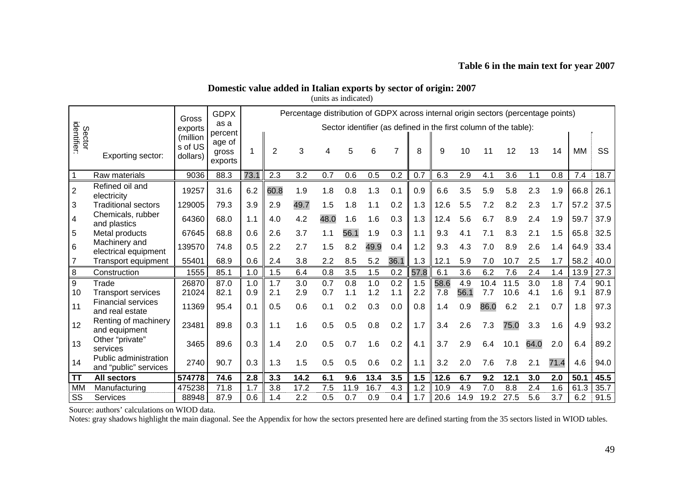## **Table 6 in the main text for year 2007**

# **Domestic value added in Italian exports by sector of origin: 2007**

(units as indicated)

|                       |                                                | Gross   | <b>GDPX</b>                           | Percentage distribution of GDPX across internal origin sectors (percentage points) |      |      |      |      |      |      |      |                                                                  |      |      |      |      |      |      |      |
|-----------------------|------------------------------------------------|---------|---------------------------------------|------------------------------------------------------------------------------------|------|------|------|------|------|------|------|------------------------------------------------------------------|------|------|------|------|------|------|------|
|                       |                                                | exports | as a                                  |                                                                                    |      |      |      |      |      |      |      | Sector identifier (as defined in the first column of the table): |      |      |      |      |      |      |      |
| Sector<br>identifier: | Exporting sector:                              |         | percent<br>age of<br>gross<br>exports |                                                                                    | 2    | 3    |      | 5    | 6    |      | 8    | 9                                                                | 10   | 11   | 12   | 13   | 14   | MМ   | SS   |
|                       | Raw materials                                  | 9036    | 88.3                                  | 73.1                                                                               | 2.3  | 3.2  | 0.7  | 0.6  | 0.5  | 0.2  | 0.7  | 6.3                                                              | 2.9  | 4.1  | 3.6  | 1.1  | 0.8  | 7.4  | 18.7 |
| $\overline{c}$        | Refined oil and<br>electricity                 | 19257   | 31.6                                  | 6.2                                                                                | 60.8 | 1.9  | 1.8  | 0.8  | 1.3  | 0.1  | 0.9  | 6.6                                                              | 3.5  | 5.9  | 5.8  | 2.3  | 1.9  | 66.8 | 26.1 |
| 3                     | <b>Traditional sectors</b>                     | 129005  | 79.3                                  | 3.9                                                                                | 2.9  | 49.7 | 1.5  | 1.8  | 1.1  | 0.2  | 1.3  | 12.6                                                             | 5.5  | 7.2  | 8.2  | 2.3  | 1.7  | 57.2 | 37.5 |
| 4                     | Chemicals, rubber<br>and plastics              | 64360   | 68.0                                  | 1.1                                                                                | 4.0  | 4.2  | 48.0 | 1.6  | 1.6  | 0.3  | 1.3  | 12.4                                                             | 5.6  | 6.7  | 8.9  | 2.4  | 1.9  | 59.7 | 37.9 |
| $\overline{5}$        | Metal products                                 | 67645   | 68.8                                  | 0.6                                                                                | 2.6  | 3.7  | 1.1  | 56.1 | 1.9  | 0.3  | 1.1  | 9.3                                                              | 4.1  | 7.1  | 8.3  | 2.1  | 1.5  | 65.8 | 32.5 |
| $\,6\,$               | Machinery and<br>electrical equipment          | 139570  | 74.8                                  | 0.5                                                                                | 2.2  | 2.7  | 1.5  | 8.2  | 49.9 | 0.4  | 1.2  | 9.3                                                              | 4.3  | 7.0  | 8.9  | 2.6  | 1.4  | 64.9 | 33.4 |
| 7                     | <b>Transport equipment</b>                     | 55401   | 68.9                                  | 0.6                                                                                | 2.4  | 3.8  | 2.2  | 8.5  | 5.2  | 36.1 | 1.3  | 12.1                                                             | 5.9  | 7.0  | 10.7 | 2.5  | 1.7  | 58.2 | 40.0 |
| $\, 8$                | Construction                                   | 1555    | 85.1                                  | 1.0                                                                                | 1.5  | 6.4  | 0.8  | 3.5  | 1.5  | 0.2  | 57.8 | 6.1                                                              | 3.6  | 6.2  | 7.6  | 2.4  | 1.4  | 13.9 | 27.3 |
| 9                     | Trade                                          | 26870   | 87.0                                  | 1.0                                                                                | 1.7  | 3.0  | 0.7  | 0.8  | 1.0  | 0.2  | 1.5  | 58.6                                                             | 4.9  | 10.4 | 11.5 | 3.0  | 1.8  | 7.4  | 90.1 |
| 10                    | <b>Transport services</b>                      | 21024   | 82.1                                  | 0.9                                                                                | 2.1  | 2.9  | 0.7  | 1.1  | 1.2  | 1.1  | 2.2  | 7.8                                                              | 56.1 | 7.7  | 10.6 | 4.1  | 1.6  | 9.1  | 87.9 |
| 11                    | <b>Financial services</b><br>and real estate   | 11369   | 95.4                                  | 0.1                                                                                | 0.5  | 0.6  | 0.1  | 0.2  | 0.3  | 0.0  | 0.8  | 1.4                                                              | 0.9  | 86.0 | 6.2  | 2.1  | 0.7  | 1.8  | 97.3 |
| 12                    | Renting of machinery<br>and equipment          | 23481   | 89.8                                  | 0.3                                                                                | 1.1  | 1.6  | 0.5  | 0.5  | 0.8  | 0.2  | 1.7  | 3.4                                                              | 2.6  | 7.3  | 75.0 | 3.3  | 1.6  | 4.9  | 93.2 |
| 13                    | Other "private"<br>services                    | 3465    | 89.6                                  | 0.3                                                                                | 1.4  | 2.0  | 0.5  | 0.7  | 1.6  | 0.2  | 4.1  | 3.7                                                              | 2.9  | 6.4  | 10.1 | 64.0 | 2.0  | 6.4  | 89.2 |
| 14                    | Public administration<br>and "public" services | 2740    | 90.7                                  | 0.3                                                                                | 1.3  | 1.5  | 0.5  | 0.5  | 0.6  | 0.2  | 1.1  | 3.2                                                              | 2.0  | 7.6  | 7.8  | 2.1  | 71.4 | 4.6  | 94.0 |
| ΤT                    | <b>All sectors</b>                             | 574778  | 74.6                                  | 2.8                                                                                | 3.3  | 14.2 | 6.1  | 9.6  | 13.4 | 3.5  | 1.5  | 12.6                                                             | 6.7  | 9.2  | 12.1 | 3.0  | 2.0  | 50.1 | 45.5 |
| <b>MM</b>             | Manufacturing                                  | 475238  | 71.8                                  | 1.7                                                                                | 3.8  | 17.2 | 7.5  | 11.9 | 16.7 | 4.3  | 1.2  | 10.9                                                             | 4.9  | 7.0  | 8.8  | 2.4  | 1.6  | 61.3 | 35.7 |
| SS                    | Services                                       | 88948   | 87.9                                  | 0.6                                                                                | 1.4  | 2.2  | 0.5  | 0.7  | 0.9  | 0.4  | 1.7  | 20.6                                                             | 14.9 | 19.2 | 27.5 | 5.6  | 3.7  | 6.2  | 91.5 |

Source: authors' calculations on WIOD data.

Notes: gray shadows highlight the main diagonal. See the Appendix for how the sectors presented here are defined starting from the 35 sectors listed in WIOD tables.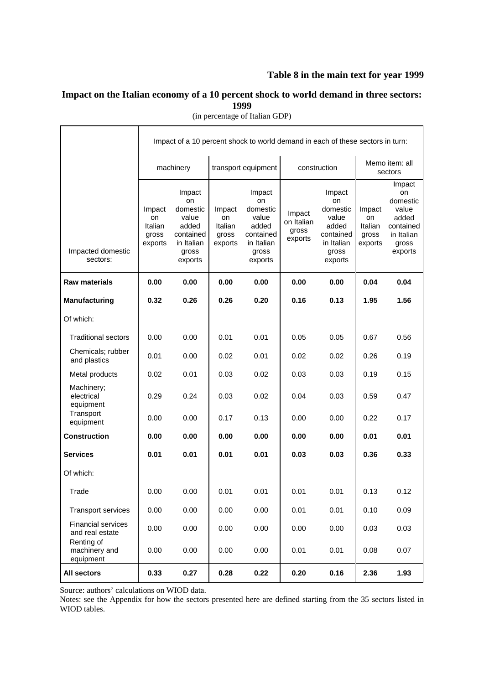# **Table 8 in the main text for year 1999**

# **Impact on the Italian economy of a 10 percent shock to world demand in three sectors: 1999**

|                                                                                          |                                             | Impact of a 10 percent shock to world demand in each of these sectors in turn:            |                                             |                                                                                           |                                                                                                                                       |              |                                             |                                                                                           |  |  |
|------------------------------------------------------------------------------------------|---------------------------------------------|-------------------------------------------------------------------------------------------|---------------------------------------------|-------------------------------------------------------------------------------------------|---------------------------------------------------------------------------------------------------------------------------------------|--------------|---------------------------------------------|-------------------------------------------------------------------------------------------|--|--|
|                                                                                          |                                             | machinery                                                                                 |                                             | transport equipment                                                                       |                                                                                                                                       | construction | Memo item: all<br>sectors                   |                                                                                           |  |  |
| Impacted domestic<br>sectors:                                                            | Impact<br>on<br>Italian<br>gross<br>exports | Impact<br>on<br>domestic<br>value<br>added<br>contained<br>in Italian<br>gross<br>exports | Impact<br>on<br>Italian<br>gross<br>exports | Impact<br>on<br>domestic<br>value<br>added<br>contained<br>in Italian<br>gross<br>exports | Impact<br>on<br>domestic<br>Impact<br>value<br>on Italian<br>added<br>gross<br>contained<br>exports<br>in Italian<br>gross<br>exports |              | Impact<br>on<br>Italian<br>gross<br>exports | Impact<br>on<br>domestic<br>value<br>added<br>contained<br>in Italian<br>gross<br>exports |  |  |
| <b>Raw materials</b>                                                                     | 0.00                                        | 0.00                                                                                      | 0.00                                        | 0.00                                                                                      | 0.00                                                                                                                                  | 0.00         | 0.04                                        | 0.04                                                                                      |  |  |
| <b>Manufacturing</b>                                                                     | 0.32                                        | 0.26                                                                                      | 0.26                                        | 0.20                                                                                      | 0.16                                                                                                                                  | 0.13         | 1.95                                        | 1.56                                                                                      |  |  |
| Of which:                                                                                |                                             |                                                                                           |                                             |                                                                                           |                                                                                                                                       |              |                                             |                                                                                           |  |  |
| <b>Traditional sectors</b>                                                               | 0.00                                        | 0.00                                                                                      | 0.01                                        | 0.01                                                                                      | 0.05                                                                                                                                  | 0.05         | 0.67                                        | 0.56                                                                                      |  |  |
| Chemicals; rubber<br>and plastics                                                        | 0.01                                        | 0.00                                                                                      | 0.02                                        | 0.01                                                                                      | 0.02                                                                                                                                  | 0.02         | 0.26                                        | 0.19                                                                                      |  |  |
| Metal products                                                                           | 0.02                                        | 0.01                                                                                      | 0.03                                        | 0.02                                                                                      | 0.03                                                                                                                                  | 0.03         | 0.19                                        | 0.15                                                                                      |  |  |
| Machinery;<br>electrical<br>equipment                                                    | 0.29                                        | 0.24                                                                                      | 0.03                                        | 0.02                                                                                      | 0.04                                                                                                                                  | 0.03         | 0.59                                        | 0.47                                                                                      |  |  |
| Transport<br>equipment                                                                   | 0.00                                        | 0.00                                                                                      | 0.17                                        | 0.13                                                                                      | 0.00                                                                                                                                  | 0.00         | 0.22                                        | 0.17                                                                                      |  |  |
| <b>Construction</b>                                                                      | 0.00                                        | 0.00                                                                                      | 0.00                                        | 0.00                                                                                      | 0.00                                                                                                                                  | 0.00         | 0.01                                        | 0.01                                                                                      |  |  |
| <b>Services</b>                                                                          | 0.01                                        | 0.01                                                                                      | 0.01                                        | 0.01                                                                                      | 0.03                                                                                                                                  | 0.03         | 0.36                                        | 0.33                                                                                      |  |  |
| Of which:                                                                                |                                             |                                                                                           |                                             |                                                                                           |                                                                                                                                       |              |                                             |                                                                                           |  |  |
| Trade                                                                                    | 0.00                                        | 0.00                                                                                      | 0.01                                        | 0.01                                                                                      | 0.01                                                                                                                                  | 0.01         | 0.13                                        | 0.12                                                                                      |  |  |
| <b>Transport services</b>                                                                | 0.00                                        | 0.00                                                                                      | 0.00                                        | 0.00                                                                                      | 0.01                                                                                                                                  | 0.01         | 0.10                                        | 0.09                                                                                      |  |  |
| <b>Financial services</b><br>and real estate<br>Renting of<br>machinery and<br>equipment | 0.00<br>0.00                                | 0.00<br>0.00                                                                              | 0.00<br>0.00                                | 0.00<br>0.00                                                                              | 0.00<br>0.01                                                                                                                          | 0.00<br>0.01 | 0.03<br>0.08                                | 0.03<br>0.07                                                                              |  |  |
| <b>All sectors</b>                                                                       | 0.33                                        | 0.27                                                                                      | 0.28                                        | 0.22                                                                                      | 0.20                                                                                                                                  | 0.16         | 2.36                                        | 1.93                                                                                      |  |  |

(in percentage of Italian GDP)

Source: authors' calculations on WIOD data.

Notes: see the Appendix for how the sectors presented here are defined starting from the 35 sectors listed in WIOD tables.